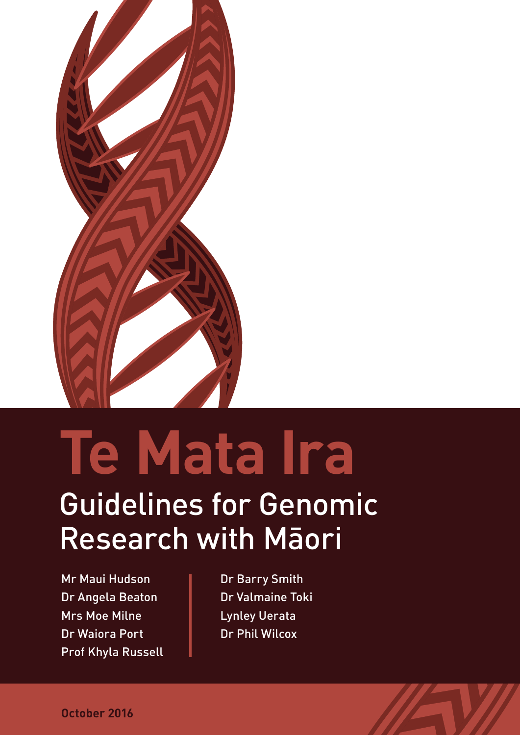

# **Te Mata Ira** Guidelines for Genomic Research with Māori

Mr Maui Hudson Dr Angela Beaton Mrs Moe Milne Dr Waiora Port Prof Khyla Russell Dr Barry Smith Dr Valmaine Toki Lynley Uerata Dr Phil Wilcox



**October 2016**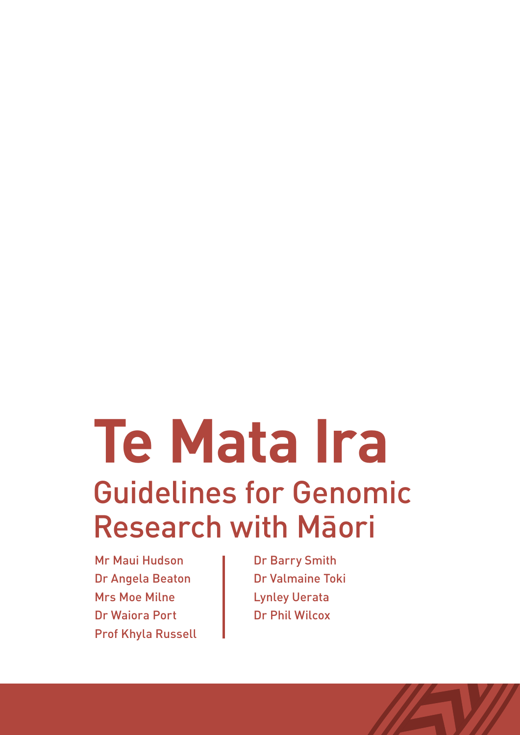# **Te Mata Ira** Guidelines for Genomic Research with Māori

Mr Maui Hudson Dr Angela Beaton Mrs Moe Milne Dr Waiora Port Prof Khyla Russell Dr Barry Smith Dr Valmaine Toki Lynley Uerata Dr Phil Wilcox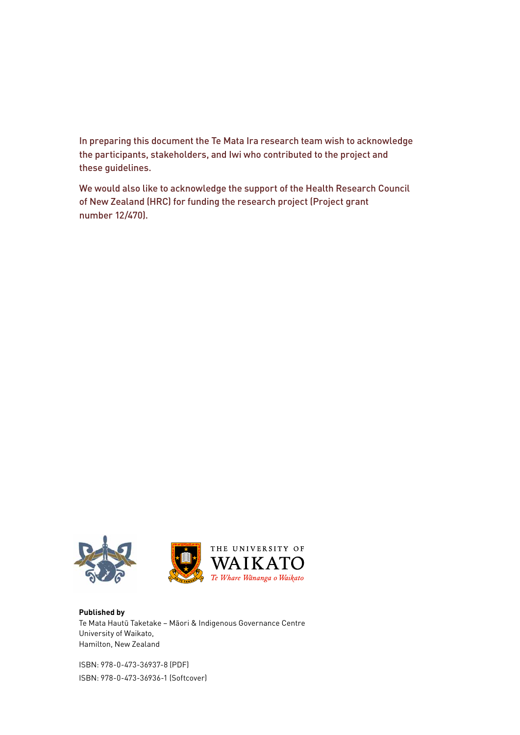In preparing this document the Te Mata Ira research team wish to acknowledge the participants, stakeholders, and Iwi who contributed to the project and these guidelines.

We would also like to acknowledge the support of the Health Research Council of New Zealand (HRC) for funding the research project (Project grant number 12/470).



**Published by** Te Mata Hautū Taketake – Māori & Indigenous Governance Centre University of Waikato, Hamilton, New Zealand

ISBN: 978-0-473-36937-8 (PDF) ISBN: 978-0-473-36936-1 (Softcover)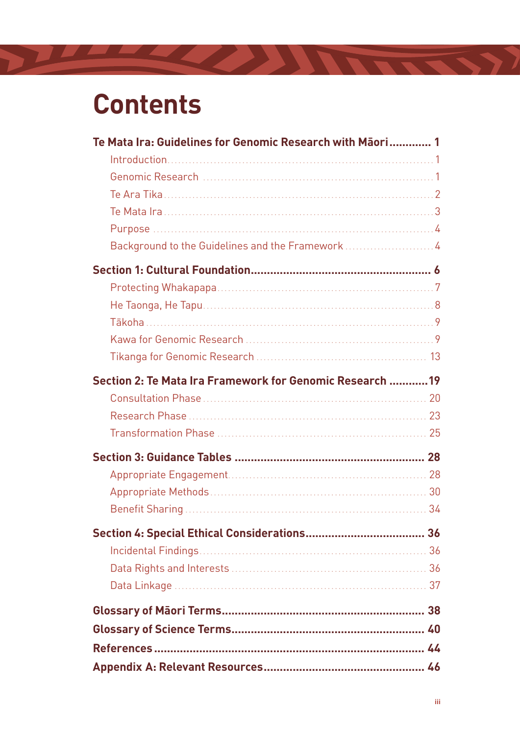## **Contents**

| Te Mata Ira: Guidelines for Genomic Research with Māori 1 |    |
|-----------------------------------------------------------|----|
|                                                           |    |
|                                                           |    |
|                                                           |    |
|                                                           |    |
|                                                           |    |
| Background to the Guidelines and the Framework4           |    |
|                                                           |    |
|                                                           |    |
|                                                           |    |
|                                                           |    |
|                                                           |    |
|                                                           |    |
| Section 2: Te Mata Ira Framework for Genomic Research  19 |    |
|                                                           |    |
|                                                           |    |
|                                                           |    |
|                                                           |    |
|                                                           |    |
|                                                           |    |
|                                                           | 34 |
|                                                           |    |
|                                                           |    |
|                                                           |    |
|                                                           |    |
|                                                           |    |
|                                                           |    |
|                                                           |    |
|                                                           |    |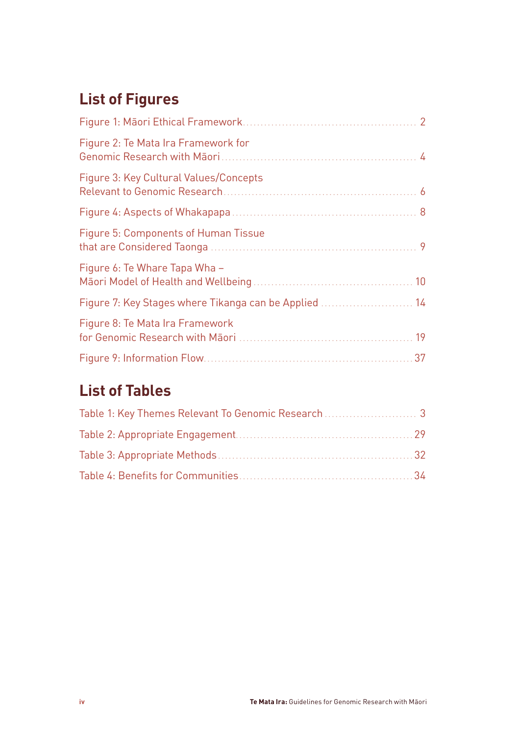## **List of Figures**

| Figure 2: Te Mata Ira Framework for                   |  |
|-------------------------------------------------------|--|
| Figure 3: Key Cultural Values/Concepts                |  |
|                                                       |  |
| Figure 5: Components of Human Tissue                  |  |
| Figure 6: Te Whare Tapa Wha -                         |  |
| Figure 7: Key Stages where Tikanga can be Applied  14 |  |
| Figure 8: Te Mata Ira Framework                       |  |
|                                                       |  |

## **List of Tables**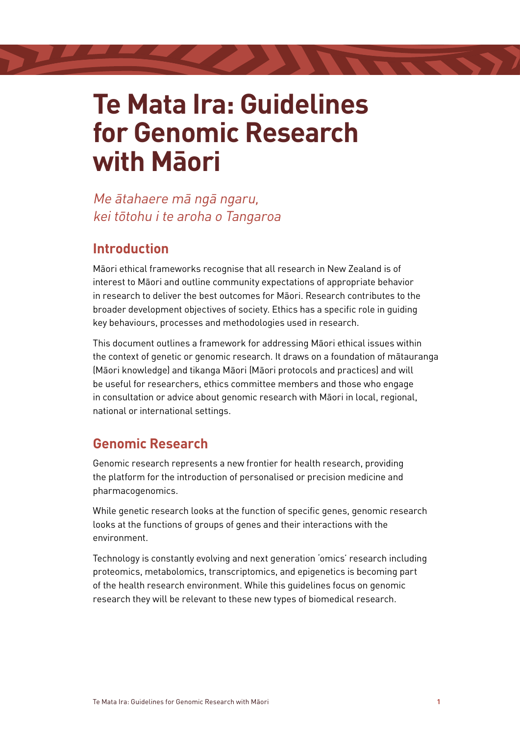## <span id="page-6-0"></span>**Te Mata Ira: Guidelines for Genomic Research with Māori**

Me ātahaere mā ngā ngaru, kei tōtohu i te aroha o Tangaroa

### **Introduction**

Māori ethical frameworks recognise that all research in New Zealand is of interest to Māori and outline community expectations of appropriate behavior in research to deliver the best outcomes for Māori. Research contributes to the broader development objectives of society. Ethics has a specific role in guiding key behaviours, processes and methodologies used in research.

This document outlines a framework for addressing Māori ethical issues within the context of genetic or genomic research. It draws on a foundation of mātauranga (Māori knowledge) and tikanga Māori (Māori protocols and practices) and will be useful for researchers, ethics committee members and those who engage in consultation or advice about genomic research with Māori in local, regional, national or international settings.

## **Genomic Research**

Genomic research represents a new frontier for health research, providing the platform for the introduction of personalised or precision medicine and pharmacogenomics.

While genetic research looks at the function of specific genes, genomic research looks at the functions of groups of genes and their interactions with the environment.

Technology is constantly evolving and next generation 'omics' research including proteomics, metabolomics, transcriptomics, and epigenetics is becoming part of the health research environment. While this guidelines focus on genomic research they will be relevant to these new types of biomedical research.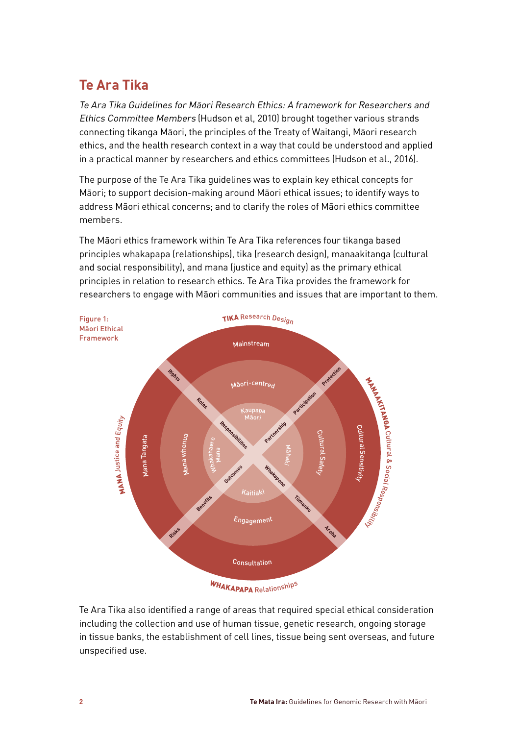## <span id="page-7-0"></span>**Te Ara Tika**

Te Ara Tika Guidelines for Māori Research Ethics: A framework for Researchers and Ethics Committee Members (Hudson et al, 2010) brought together various strands connecting tikanga Māori, the principles of the Treaty of Waitangi, Māori research ethics, and the health research context in a way that could be understood and applied in a practical manner by researchers and ethics committees (Hudson et al., 2016).

The purpose of the Te Ara Tika guidelines was to explain key ethical concepts for Māori; to support decision-making around Māori ethical issues; to identify ways to address Māori ethical concerns; and to clarify the roles of Māori ethics committee members.

The Māori ethics framework within Te Ara Tika references four tikanga based principles whakapapa (relationships), tika (research design), manaakitanga (cultural and social responsibility), and mana (justice and equity) as the primary ethical principles in relation to research ethics. Te Ara Tika provides the framework for researchers to engage with Māori communities and issues that are important to them.

<span id="page-7-1"></span>

WHAKAPAPA Relationships

Te Ara Tika also identified a range of areas that required special ethical consideration including the collection and use of human tissue, genetic research, ongoing storage in tissue banks, the establishment of cell lines, tissue being sent overseas, and future unspecified use.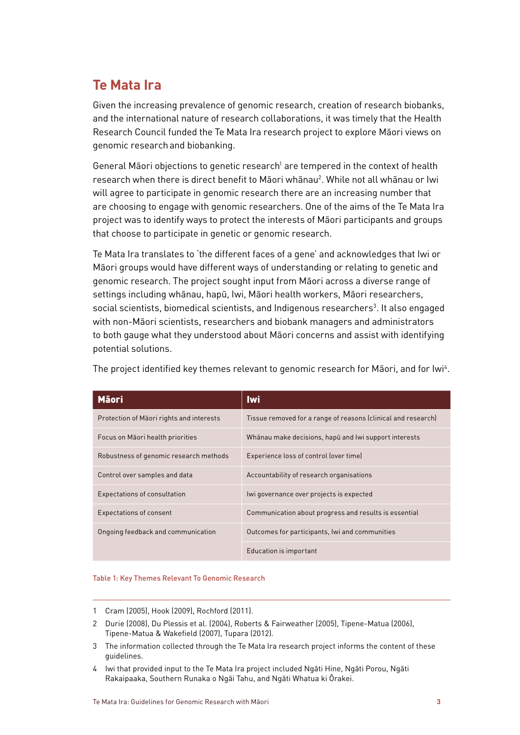## <span id="page-8-0"></span>**Te Mata Ira**

Given the increasing prevalence of genomic research, creation of research biobanks, and the international nature of research collaborations, it was timely that the Health Research Council funded the Te Mata Ira research project to explore Māori views on genomic researchand biobanking.

General Māori objections to genetic research<sup>1</sup> are tempered in the context of health research when there is direct benefit to Māori whānau<sup>2</sup>. While not all whānau or Iwi will agree to participate in genomic research there are an increasing number that are choosing to engage with genomic researchers. One of the aims of the Te Mata Ira project was to identify ways to protect the interests of Māori participants and groups that choose to participate in genetic or genomic research.

Te Mata Ira translates to 'the different faces of a gene' and acknowledges that Iwi or Māori groups would have different ways of understanding or relating to genetic and genomic research. The project sought input from Māori across a diverse range of settings including whānau, hapū, Iwi, Māori health workers, Māori researchers, social scientists, biomedical scientists, and Indigenous researchers<sup>3</sup>. It also engaged with non-Māori scientists, researchers and biobank managers and administrators to both gauge what they understood about Māori concerns and assist with identifying potential solutions.

| <b>Māori</b>                             | <b>Iwi</b>                                                    |
|------------------------------------------|---------------------------------------------------------------|
| Protection of Maori rights and interests | Tissue removed for a range of reasons (clinical and research) |
| Focus on Māori health priorities         | Whānau make decisions, hapū and Iwi support interests         |
| Robustness of genomic research methods   | Experience loss of control (over time)                        |
| Control over samples and data            | Accountability of research organisations                      |
| <b>Expectations of consultation</b>      | Iwi governance over projects is expected                      |
| <b>Expectations of consent</b>           | Communication about progress and results is essential         |
| Ongoing feedback and communication       | Outcomes for participants, Iwi and communities                |
|                                          | Education is important                                        |

The project identified key themes relevant to genomic research for Māori, and for Iwi<sup>4</sup>.

#### <span id="page-8-1"></span>Table 1: Key Themes Relevant To Genomic Research

- 1 Cram (2005), Hook (2009), Rochford (2011).
- 2 Durie (2008), Du Plessis et al. (2004), Roberts & Fairweather (2005), Tipene-Matua (2006), Tipene-Matua & Wakefield (2007), Tupara (2012).
- 3 The information collected through the Te Mata Ira research project informs the content of these guidelines.
- 4 Iwi that provided input to the Te Mata Ira project included Ngāti Hine, Ngāti Porou, Ngāti Rakaipaaka, Southern Runaka o Ngāi Tahu, and Ngāti Whatua ki Ōrakei.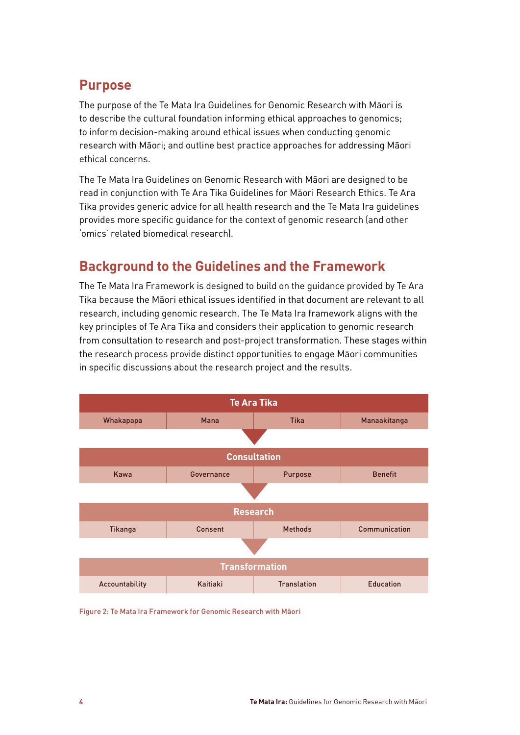### <span id="page-9-0"></span>**Purpose**

The purpose of the Te Mata Ira Guidelines for Genomic Research with Māori is to describe the cultural foundation informing ethical approaches to genomics; to inform decision-making around ethical issues when conducting genomic research with Māori; and outline best practice approaches for addressing Māori ethical concerns.

The Te Mata Ira Guidelines on Genomic Research with Māori are designed to be read in conjunction with Te Ara Tika Guidelines for Māori Research Ethics. Te Ara Tika provides generic advice for all health research and the Te Mata Ira guidelines provides more specific guidance for the context of genomic research (and other 'omics' related biomedical research).

### **Background to the Guidelines and the Framework**

The Te Mata Ira Framework is designed to build on the guidance provided by Te Ara Tika because the Māori ethical issues identified in that document are relevant to all research, including genomic research. The Te Mata Ira framework aligns with the key principles of Te Ara Tika and considers their application to genomic research from consultation to research and post-project transformation. These stages within the research process provide distinct opportunities to engage Māori communities in specific discussions about the research project and the results.



<span id="page-9-1"></span>Figure 2: Te Mata Ira Framework for Genomic Research with Māori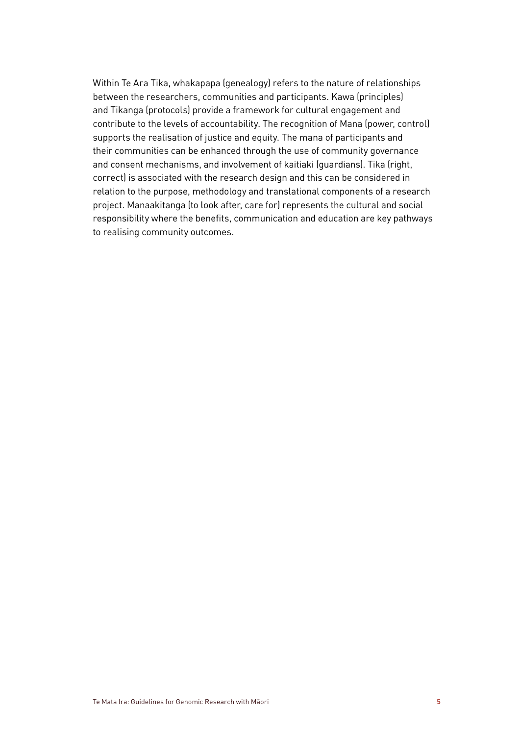Within Te Ara Tika, whakapapa (genealogy) refers to the nature of relationships between the researchers, communities and participants. Kawa (principles) and Tikanga (protocols) provide a framework for cultural engagement and contribute to the levels of accountability. The recognition of Mana (power, control) supports the realisation of justice and equity. The mana of participants and their communities can be enhanced through the use of community governance and consent mechanisms, and involvement of kaitiaki (guardians). Tika (right, correct) is associated with the research design and this can be considered in relation to the purpose, methodology and translational components of a research project. Manaakitanga (to look after, care for) represents the cultural and social responsibility where the benefits, communication and education are key pathways to realising community outcomes.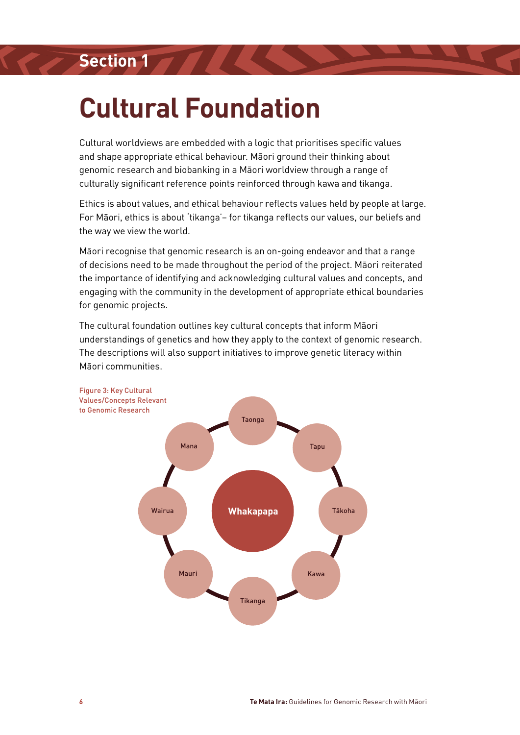## <span id="page-11-0"></span>**Section 1**

## **Cultural Foundation**

Cultural worldviews are embedded with a logic that prioritises specific values and shape appropriate ethical behaviour. Māori ground their thinking about genomic research and biobanking in a Māori worldview through a range of culturally significant reference points reinforced through kawa and tikanga.

Ethics is about values, and ethical behaviour reflects values held by people at large. For Māori, ethics is about 'tikanga'– for tikanga reflects our values, our beliefs and the way we view the world.

Māori recognise that genomic research is an on-going endeavor and that a range of decisions need to be made throughout the period of the project. Māori reiterated the importance of identifying and acknowledging cultural values and concepts, and engaging with the community in the development of appropriate ethical boundaries for genomic projects.

The cultural foundation outlines key cultural concepts that inform Māori understandings of genetics and how they apply to the context of genomic research. The descriptions will also support initiatives to improve genetic literacy within Māori communities.

<span id="page-11-1"></span>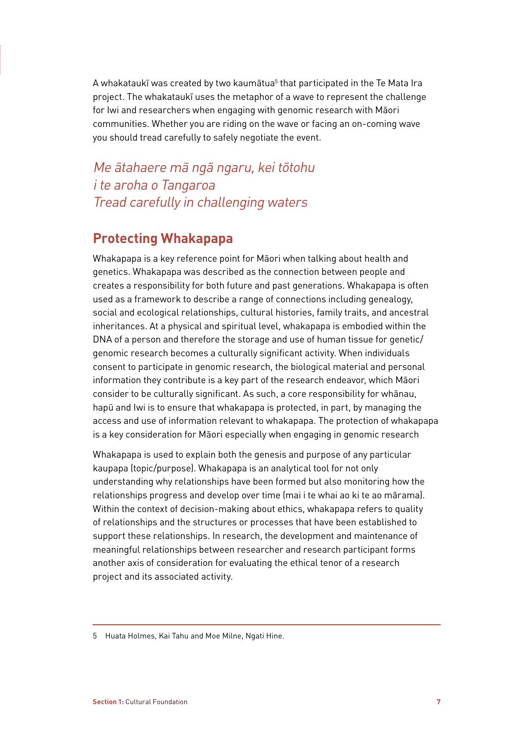<span id="page-12-0"></span>A whakataukī was created by two kaumātua<sup>5</sup> that participated in the Te Mata Ira project. The whakataukī uses the metaphor of a wave to represent the challenge for Iwi and researchers when engaging with genomic research with Māori communities. Whether you are riding on the wave or facing an on-coming wave you should tread carefully to safely negotiate the event.

Me ātahaere mā ngā ngaru, kei tōtohu i te aroha o Tangaroa Tread carefully in challenging waters

#### **Protecting Whakapapa**

Whakapapa is a key reference point for Māori when talking about health and genetics. Whakapapa was described as the connection between people and creates a responsibility for both future and past generations. Whakapapa is often used as a framework to describe a range of connections including genealogy, social and ecological relationships, cultural histories, family traits, and ancestral inheritances. At a physical and spiritual level, whakapapa is embodied within the DNA of a person and therefore the storage and use of human tissue for genetic/ genomic research becomes a culturally significant activity. When individuals consent to participate in genomic research, the biological material and personal information they contribute is a key part of the research endeavor, which Māori consider to be culturally significant. As such, a core responsibility for whānau, hapū and Iwi is to ensure that whakapapa is protected, in part, by managing the access and use of information relevant to whakapapa. The protection of whakapapa is a key consideration for Māori especially when engaging in genomic research

Whakapapa is used to explain both the genesis and purpose of any particular kaupapa (topic/purpose). Whakapapa is an analytical tool for not only understanding why relationships have been formed but also monitoring how the relationships progress and develop over time (mai i te whai ao ki te ao mārama). Within the context of decision-making about ethics, whakapapa refers to quality of relationships and the structures or processes that have been established to support these relationships. In research, the development and maintenance of meaningful relationships between researcher and research participant forms another axis of consideration for evaluating the ethical tenor of a research project and its associated activity.

<sup>5</sup> Huata Holmes, Kai Tahu and Moe Milne, Ngati Hine.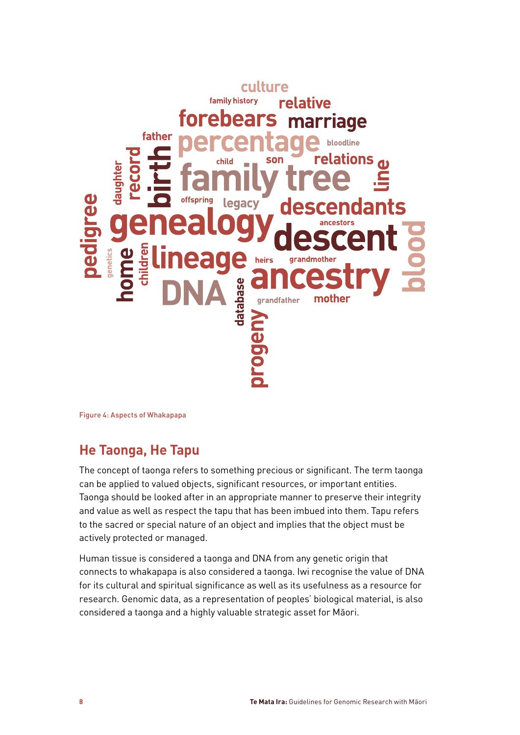<span id="page-13-0"></span>

<span id="page-13-1"></span>Figure 4: Aspects of Whakapapa

### **He Taonga, He Tapu**

The concept of taonga refers to something precious or significant. The term taonga can be applied to valued objects, significant resources, or important entities. Taonga should be looked after in an appropriate manner to preserve their integrity and value as well as respect the tapu that has been imbued into them. Tapu refers to the sacred or special nature of an object and implies that the object must be actively protected or managed.

Human tissue is considered a taonga and DNA from any genetic origin that connects to whakapapa is also considered a taonga. Iwi recognise the value of DNA for its cultural and spiritual significance as well as its usefulness as a resource for research. Genomic data, as a representation of peoples' biological material, is also considered a taonga and a highly valuable strategic asset for Māori.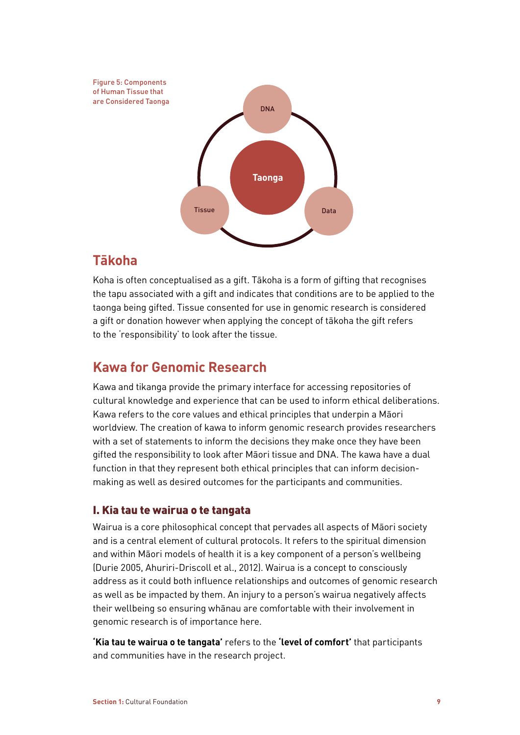<span id="page-14-1"></span><span id="page-14-0"></span>

### **Tākoha**

Koha is often conceptualised as a gift. Tākoha is a form of gifting that recognises the tapu associated with a gift and indicates that conditions are to be applied to the taonga being gifted. Tissue consented for use in genomic research is considered a gift or donation however when applying the concept of tākoha the gift refers to the 'responsibility' to look after the tissue.

### **Kawa for Genomic Research**

Kawa and tikanga provide the primary interface for accessing repositories of cultural knowledge and experience that can be used to inform ethical deliberations. Kawa refers to the core values and ethical principles that underpin a Māori worldview. The creation of kawa to inform genomic research provides researchers with a set of statements to inform the decisions they make once they have been gifted the responsibility to look after Māori tissue and DNA. The kawa have a dual function in that they represent both ethical principles that can inform decisionmaking as well as desired outcomes for the participants and communities.

#### I. Kia tau te wairua o te tangata

Wairua is a core philosophical concept that pervades all aspects of Māori society and is a central element of cultural protocols. It refers to the spiritual dimension and within Māori models of health it is a key component of a person's wellbeing (Durie 2005, Ahuriri-Driscoll et al., 2012). Wairua is a concept to consciously address as it could both influence relationships and outcomes of genomic research as well as be impacted by them. An injury to a person's wairua negatively affects their wellbeing so ensuring whānau are comfortable with their involvement in genomic research is of importance here.

**'Kia tau te wairua o te tangata'** refers to the **'level of comfort'** that participants and communities have in the research project.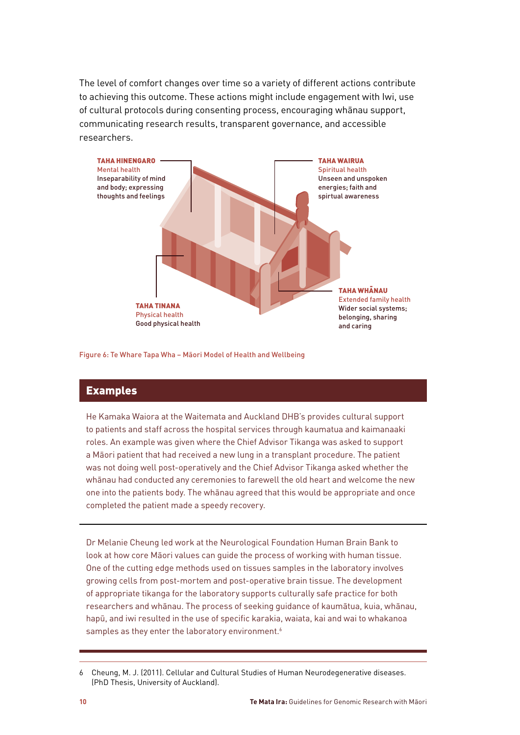The level of comfort changes over time so a variety of different actions contribute to achieving this outcome. These actions might include engagement with Iwi, use of cultural protocols during consenting process, encouraging whānau support, communicating research results, transparent governance, and accessible researchers.



<span id="page-15-0"></span>Figure 6: Te Whare Tapa Wha – Māori Model of Health and Wellbeing

#### Examples

He Kamaka Waiora at the Waitemata and Auckland DHB's provides cultural support to patients and staff across the hospital services through kaumatua and kaimanaaki roles. An example was given where the Chief Advisor Tikanga was asked to support a Māori patient that had received a new lung in a transplant procedure. The patient was not doing well post-operatively and the Chief Advisor Tikanga asked whether the whānau had conducted any ceremonies to farewell the old heart and welcome the new one into the patients body. The whānau agreed that this would be appropriate and once completed the patient made a speedy recovery.

Dr Melanie Cheung led work at the Neurological Foundation Human Brain Bank to look at how core Māori values can guide the process of working with human tissue. One of the cutting edge methods used on tissues samples in the laboratory involves growing cells from post-mortem and post-operative brain tissue. The development of appropriate tikanga for the laboratory supports culturally safe practice for both researchers and whānau. The process of seeking guidance of kaumātua, kuia, whānau, hapū, and iwi resulted in the use of specific karakia, waiata, kai and wai to whakanoa samples as they enter the laboratory environment.<sup>6</sup>

<sup>6</sup> Cheung, M. J. (2011). Cellular and Cultural Studies of Human Neurodegenerative diseases. (PhD Thesis, University of Auckland).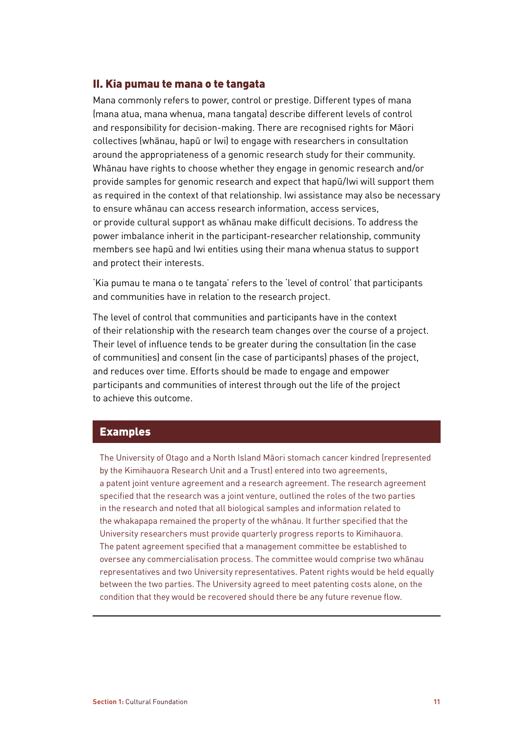#### II. Kia pumau te mana o te tangata

Mana commonly refers to power, control or prestige. Different types of mana (mana atua, mana whenua, mana tangata) describe different levels of control and responsibility for decision-making. There are recognised rights for Māori collectives (whānau, hapū or Iwi) to engage with researchers in consultation around the appropriateness of a genomic research study for their community. Whānau have rights to choose whether they engage in genomic research and/or provide samples for genomic research and expect that hapū/Iwi will support them as required in the context of that relationship. Iwi assistance may also be necessary to ensure whānau can access research information, access services, or provide cultural support as whānau make difficult decisions. To address the power imbalance inherit in the participant-researcher relationship, community members see hapū and Iwi entities using their mana whenua status to support and protect their interests.

'Kia pumau te mana o te tangata' refers to the 'level of control' that participants and communities have in relation to the research project.

The level of control that communities and participants have in the context of their relationship with the research team changes over the course of a project. Their level of influence tends to be greater during the consultation (in the case of communities) and consent (in the case of participants) phases of the project, and reduces over time. Efforts should be made to engage and empower participants and communities of interest through out the life of the project to achieve this outcome.

#### Examples

The University of Otago and a North Island Māori stomach cancer kindred (represented by the Kimihauora Research Unit and a Trust) entered into two agreements, a patent joint venture agreement and a research agreement. The research agreement specified that the research was a joint venture, outlined the roles of the two parties in the research and noted that all biological samples and information related to the whakapapa remained the property of the whānau. It further specified that the University researchers must provide quarterly progress reports to Kimihauora. The patent agreement specified that a management committee be established to oversee any commercialisation process. The committee would comprise two whānau representatives and two University representatives. Patent rights would be held equally between the two parties. The University agreed to meet patenting costs alone, on the condition that they would be recovered should there be any future revenue flow.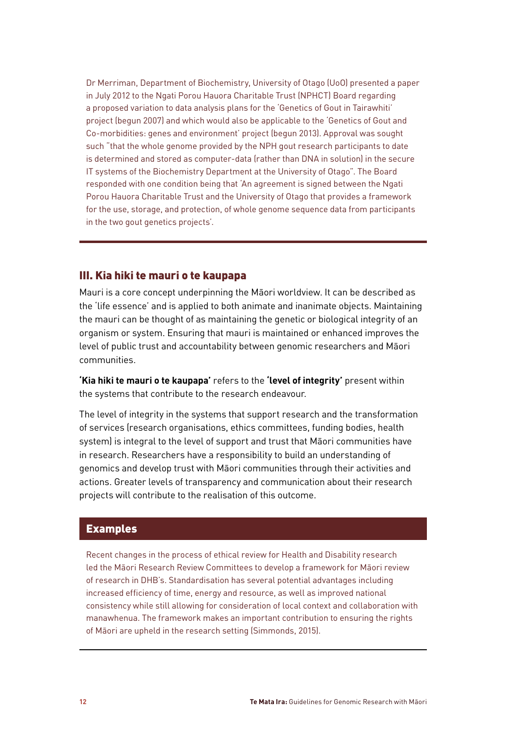Dr Merriman, Department of Biochemistry, University of Otago (UoO) presented a paper in July 2012 to the Ngati Porou Hauora Charitable Trust (NPHCT) Board regarding a proposed variation to data analysis plans for the 'Genetics of Gout in Tairawhiti' project (begun 2007) and which would also be applicable to the 'Genetics of Gout and Co-morbidities: genes and environment' project (begun 2013). Approval was sought such "that the whole genome provided by the NPH gout research participants to date is determined and stored as computer-data (rather than DNA in solution) in the secure IT systems of the Biochemistry Department at the University of Otago". The Board responded with one condition being that 'An agreement is signed between the Ngati Porou Hauora Charitable Trust and the University of Otago that provides a framework for the use, storage, and protection, of whole genome sequence data from participants in the two gout genetics projects'.

#### III. Kia hiki te mauri o te kaupapa

Mauri is a core concept underpinning the Māori worldview. It can be described as the 'life essence' and is applied to both animate and inanimate objects. Maintaining the mauri can be thought of as maintaining the genetic or biological integrity of an organism or system. Ensuring that mauri is maintained or enhanced improves the level of public trust and accountability between genomic researchers and Māori communities.

**'Kia hiki te mauri o te kaupapa'** refers to the **'level of integrity'** present within the systems that contribute to the research endeavour.

The level of integrity in the systems that support research and the transformation of services (research organisations, ethics committees, funding bodies, health system) is integral to the level of support and trust that Māori communities have in research. Researchers have a responsibility to build an understanding of genomics and develop trust with Māori communities through their activities and actions. Greater levels of transparency and communication about their research projects will contribute to the realisation of this outcome.

#### Examples

Recent changes in the process of ethical review for Health and Disability research led the Māori Research Review Committees to develop a framework for Māori review of research in DHB's. Standardisation has several potential advantages including increased efficiency of time, energy and resource, as well as improved national consistency while still allowing for consideration of local context and collaboration with manawhenua. The framework makes an important contribution to ensuring the rights of Māori are upheld in the research setting (Simmonds, 2015).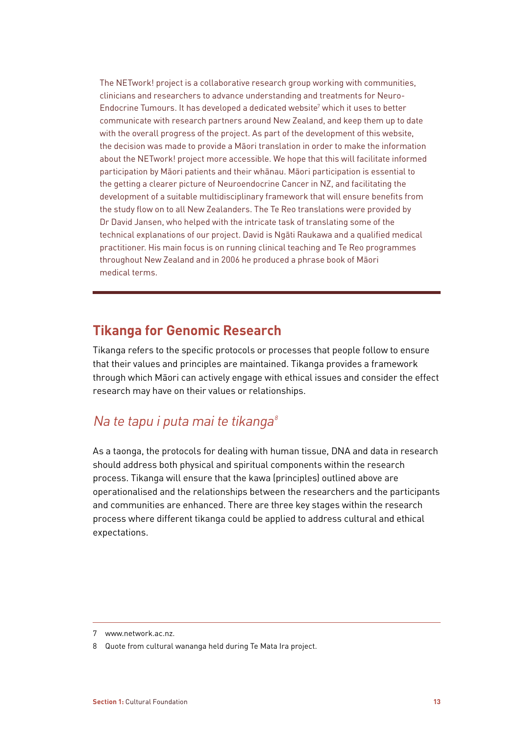<span id="page-18-0"></span>The NETwork! project is a collaborative research group working with communities, clinicians and researchers to advance understanding and treatments for Neuro-Endocrine Tumours. It has developed a dedicated website<sup>7</sup> which it uses to better communicate with research partners around New Zealand, and keep them up to date with the overall progress of the project. As part of the development of this website, the decision was made to provide a Māori translation in order to make the information about the NETwork! project more accessible. We hope that this will facilitate informed participation by Māori patients and their whānau. Māori participation is essential to the getting a clearer picture of Neuroendocrine Cancer in NZ, and facilitating the development of a suitable multidisciplinary framework that will ensure benefits from the study flow on to all New Zealanders. The Te Reo translations were provided by Dr David Jansen, who helped with the intricate task of translating some of the technical explanations of our project. David is Ngāti Raukawa and a qualified medical practitioner. His main focus is on running clinical teaching and Te Reo programmes throughout New Zealand and in 2006 he produced a phrase book of Māori medical terms.

### **Tikanga for Genomic Research**

Tikanga refers to the specific protocols or processes that people follow to ensure that their values and principles are maintained. Tikanga provides a framework through which Māori can actively engage with ethical issues and consider the effect research may have on their values or relationships.

## Na te tapu i puta mai te tikanga $^{\circ}$

As a taonga, the protocols for dealing with human tissue, DNA and data in research should address both physical and spiritual components within the research process. Tikanga will ensure that the kawa (principles) outlined above are operationalised and the relationships between the researchers and the participants and communities are enhanced. There are three key stages within the research process where different tikanga could be applied to address cultural and ethical expectations.

<sup>7</sup> www.network.ac.nz.

<sup>8</sup> Quote from cultural wananga held during Te Mata Ira project.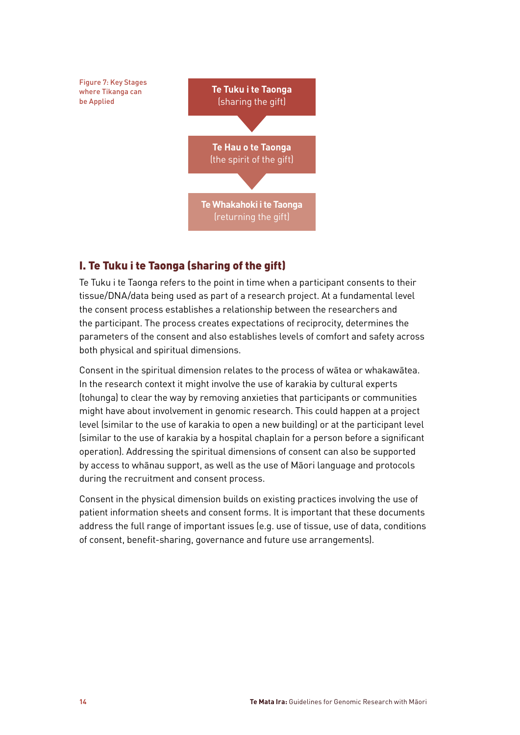<span id="page-19-0"></span>

#### I. Te Tuku i te Taonga (sharing of the gift)

Te Tuku i te Taonga refers to the point in time when a participant consents to their tissue/DNA/data being used as part of a research project. At a fundamental level the consent process establishes a relationship between the researchers and the participant. The process creates expectations of reciprocity, determines the parameters of the consent and also establishes levels of comfort and safety across both physical and spiritual dimensions.

Consent in the spiritual dimension relates to the process of wātea or whakawātea. In the research context it might involve the use of karakia by cultural experts (tohunga) to clear the way by removing anxieties that participants or communities might have about involvement in genomic research. This could happen at a project level (similar to the use of karakia to open a new building) or at the participant level (similar to the use of karakia by a hospital chaplain for a person before a significant operation). Addressing the spiritual dimensions of consent can also be supported by access to whānau support, as well as the use of Māori language and protocols during the recruitment and consent process.

Consent in the physical dimension builds on existing practices involving the use of patient information sheets and consent forms. It is important that these documents address the full range of important issues (e.g. use of tissue, use of data, conditions of consent, benefit-sharing, governance and future use arrangements).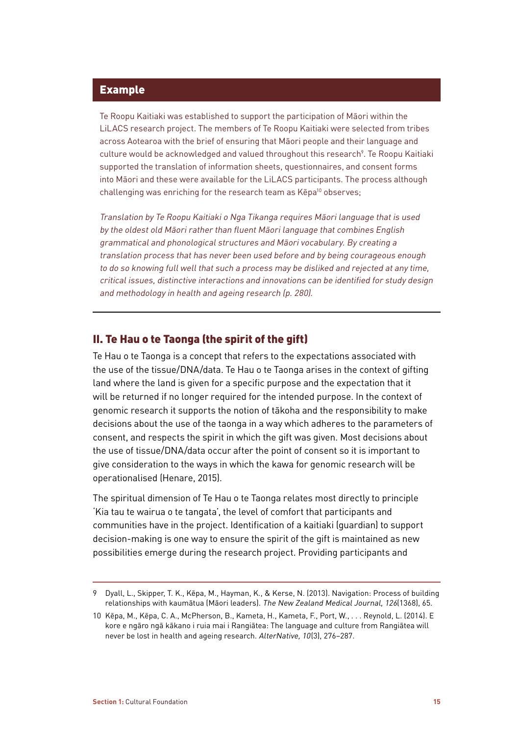#### Example

Te Roopu Kaitiaki was established to support the participation of Māori within the LiLACS research project. The members of Te Roopu Kaitiaki were selected from tribes across Aotearoa with the brief of ensuring that Māori people and their language and culture would be acknowledged and valued throughout this research<sup>9</sup>. Te Roopu Kaitiaki supported the translation of information sheets, questionnaires, and consent forms into Māori and these were available for the LiLACS participants. The process although challenging was enriching for the research team as Kēpa<sup>10</sup> observes;

Translation by Te Roopu Kaitiaki o Nga Tikanga requires Māori language that is used by the oldest old Māori rather than fluent Māori language that combines English grammatical and phonological structures and Māori vocabulary. By creating a translation process that has never been used before and by being courageous enough to do so knowing full well that such a process may be disliked and rejected at any time, critical issues, distinctive interactions and innovations can be identified for study design and methodology in health and ageing research (p. 280).

#### II. Te Hau o te Taonga (the spirit of the gift)

Te Hau o te Taonga is a concept that refers to the expectations associated with the use of the tissue/DNA/data. Te Hau o te Taonga arises in the context of gifting land where the land is given for a specific purpose and the expectation that it will be returned if no longer required for the intended purpose. In the context of genomic research it supports the notion of tākoha and the responsibility to make decisions about the use of the taonga in a way which adheres to the parameters of consent, and respects the spirit in which the gift was given. Most decisions about the use of tissue/DNA/data occur after the point of consent so it is important to give consideration to the ways in which the kawa for genomic research will be operationalised (Henare, 2015).

The spiritual dimension of Te Hau o te Taonga relates most directly to principle 'Kia tau te wairua o te tangata', the level of comfort that participants and communities have in the project. Identification of a kaitiaki (guardian) to support decision-making is one way to ensure the spirit of the gift is maintained as new possibilities emerge during the research project. Providing participants and

<sup>9</sup> Dyall, L., Skipper, T. K., Kēpa, M., Hayman, K., & Kerse, N. (2013). Navigation: Process of building relationships with kaumātua (Māori leaders). The New Zealand Medical Journal, 126(1368), 65.

<sup>10</sup> Kēpa, M., Kēpa, C. A., McPherson, B., Kameta, H., Kameta, F., Port, W., . . . Reynold, L. (2014). E kore e ngāro ngā kākano i ruia mai i Rangiātea: The language and culture from Rangiātea will never be lost in health and ageing research. AlterNative, 10(3), 276–287.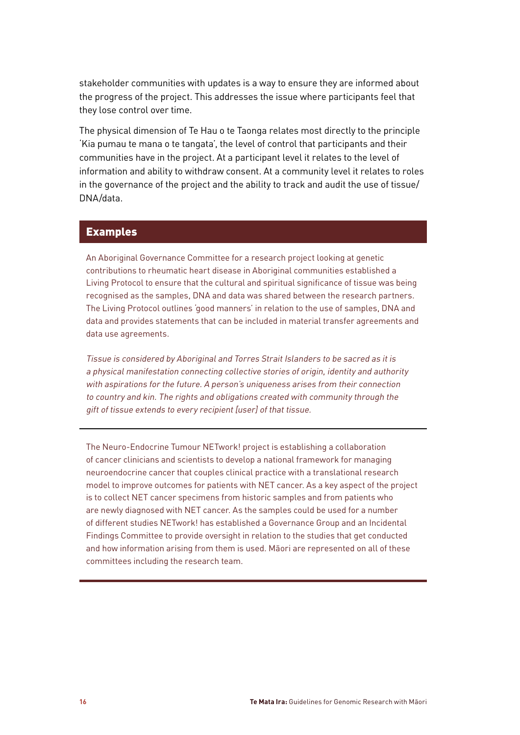stakeholder communities with updates is a way to ensure they are informed about the progress of the project. This addresses the issue where participants feel that they lose control over time.

The physical dimension of Te Hau o te Taonga relates most directly to the principle 'Kia pumau te mana o te tangata', the level of control that participants and their communities have in the project. At a participant level it relates to the level of information and ability to withdraw consent. At a community level it relates to roles in the governance of the project and the ability to track and audit the use of tissue/ DNA/data.

#### Examples

An Aboriginal Governance Committee for a research project looking at genetic contributions to rheumatic heart disease in Aboriginal communities established a Living Protocol to ensure that the cultural and spiritual significance of tissue was being recognised as the samples, DNA and data was shared between the research partners. The Living Protocol outlines 'good manners' in relation to the use of samples, DNA and data and provides statements that can be included in material transfer agreements and data use agreements.

Tissue is considered by Aboriginal and Torres Strait Islanders to be sacred as it is a physical manifestation connecting collective stories of origin, identity and authority with aspirations for the future. A person's uniqueness arises from their connection to country and kin. The rights and obligations created with community through the gift of tissue extends to every recipient [user] of that tissue.

The Neuro-Endocrine Tumour NETwork! project is establishing a collaboration of cancer clinicians and scientists to develop a national framework for managing neuroendocrine cancer that couples clinical practice with a translational research model to improve outcomes for patients with NET cancer. As a key aspect of the project is to collect NET cancer specimens from historic samples and from patients who are newly diagnosed with NET cancer. As the samples could be used for a number of different studies NETwork! has established a Governance Group and an Incidental Findings Committee to provide oversight in relation to the studies that get conducted and how information arising from them is used. Māori are represented on all of these committees including the research team.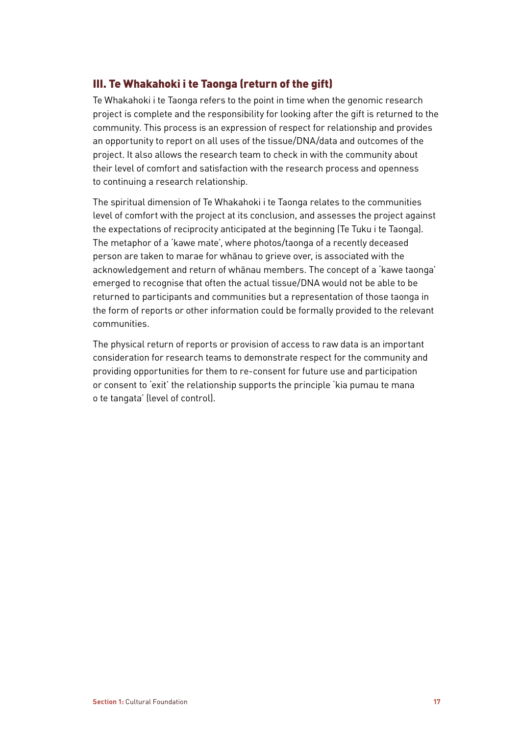#### III. Te Whakahoki i te Taonga (return of the gift)

Te Whakahoki i te Taonga refers to the point in time when the genomic research project is complete and the responsibility for looking after the gift is returned to the community. This process is an expression of respect for relationship and provides an opportunity to report on all uses of the tissue/DNA/data and outcomes of the project. It also allows the research team to check in with the community about their level of comfort and satisfaction with the research process and openness to continuing a research relationship.

The spiritual dimension of Te Whakahoki i te Taonga relates to the communities level of comfort with the project at its conclusion, and assesses the project against the expectations of reciprocity anticipated at the beginning (Te Tuku i te Taonga). The metaphor of a 'kawe mate', where photos/taonga of a recently deceased person are taken to marae for whānau to grieve over, is associated with the acknowledgement and return of whānau members. The concept of a 'kawe taonga' emerged to recognise that often the actual tissue/DNA would not be able to be returned to participants and communities but a representation of those taonga in the form of reports or other information could be formally provided to the relevant communities.

The physical return of reports or provision of access to raw data is an important consideration for research teams to demonstrate respect for the community and providing opportunities for them to re-consent for future use and participation or consent to 'exit' the relationship supports the principle 'kia pumau te mana o te tangata' (level of control).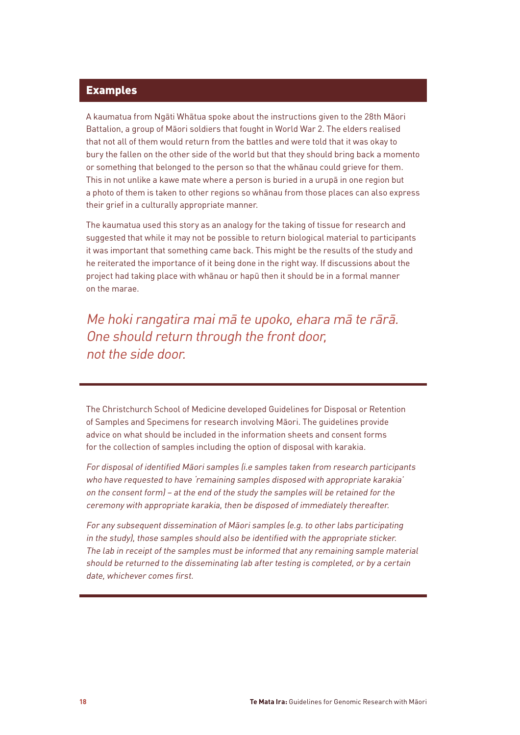#### Examples

A kaumatua from Ngāti Whātua spoke about the instructions given to the 28th Māori Battalion, a group of Māori soldiers that fought in World War 2. The elders realised that not all of them would return from the battles and were told that it was okay to bury the fallen on the other side of the world but that they should bring back a momento or something that belonged to the person so that the whānau could grieve for them. This in not unlike a kawe mate where a person is buried in a urupā in one region but a photo of them is taken to other regions so whānau from those places can also express their grief in a culturally appropriate manner.

The kaumatua used this story as an analogy for the taking of tissue for research and suggested that while it may not be possible to return biological material to participants it was important that something came back. This might be the results of the study and he reiterated the importance of it being done in the right way. If discussions about the project had taking place with whānau or hapū then it should be in a formal manner on the marae.

Me hoki rangatira mai mā te upoko, ehara mā te rārā. One should return through the front door, not the side door.

The Christchurch School of Medicine developed Guidelines for Disposal or Retention of Samples and Specimens for research involving Māori. The guidelines provide advice on what should be included in the information sheets and consent forms for the collection of samples including the option of disposal with karakia.

For disposal of identified Māori samples (i.e samples taken from research participants who have requested to have 'remaining samples disposed with appropriate karakia' on the consent form) – at the end of the study the samples will be retained for the ceremony with appropriate karakia, then be disposed of immediately thereafter.

For any subsequent dissemination of Māori samples (e.g. to other labs participating in the study), those samples should also be identified with the appropriate sticker. The lab in receipt of the samples must be informed that any remaining sample material should be returned to the disseminating lab after testing is completed, or by a certain date, whichever comes first.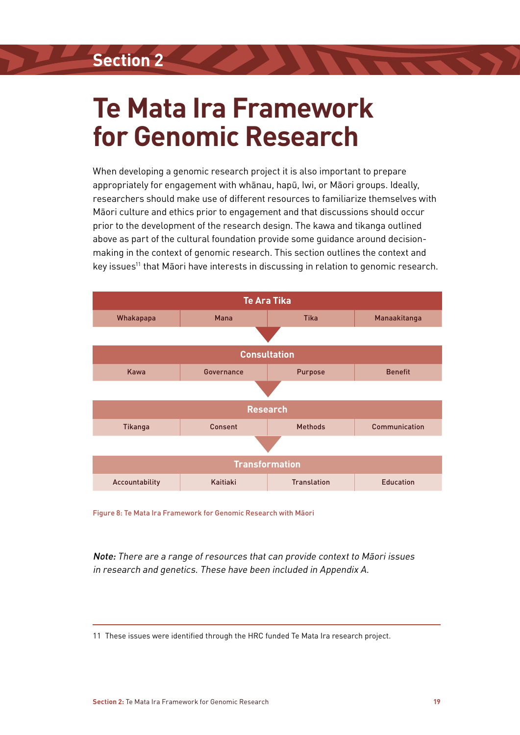## <span id="page-24-0"></span>**Te Mata Ira Framework for Genomic Research**

When developing a genomic research project it is also important to prepare appropriately for engagement with whānau, hapū, Iwi, or Māori groups. Ideally, researchers should make use of different resources to familiarize themselves with Māori culture and ethics prior to engagement and that discussions should occur prior to the development of the research design. The kawa and tikanga outlined above as part of the cultural foundation provide some guidance around decisionmaking in the context of genomic research. This section outlines the context and key issues<sup>11</sup> that Maori have interests in discussing in relation to genomic research.



<span id="page-24-1"></span>Figure 8: Te Mata Ira Framework for Genomic Research with Māori

Note: There are a range of resources that can provide context to Māori issues in research and genetics. These have been included in Appendix A.

<sup>11</sup> These issues were identified through the HRC funded Te Mata Ira research project.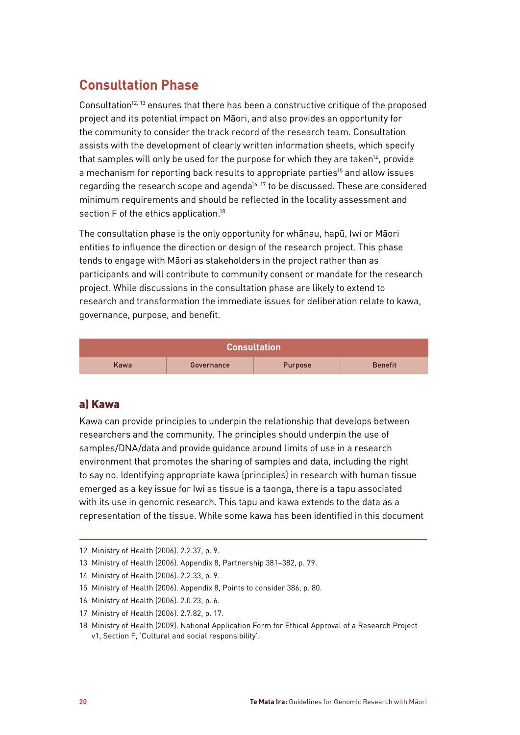### <span id="page-25-0"></span>**Consultation Phase**

Consultation<sup>12, 13</sup> ensures that there has been a constructive critique of the proposed project and its potential impact on Māori, and also provides an opportunity for the community to consider the track record of the research team. Consultation assists with the development of clearly written information sheets, which specify that samples will only be used for the purpose for which they are taken<sup>14</sup>, provide a mechanism for reporting back results to appropriate parties<sup>15</sup> and allow issues regarding the research scope and agenda<sup>16, 17</sup> to be discussed. These are considered minimum requirements and should be reflected in the locality assessment and section F of the ethics application.<sup>18</sup>

The consultation phase is the only opportunity for whānau, hapū, Iwi or Māori entities to influence the direction or design of the research project. This phase tends to engage with Māori as stakeholders in the project rather than as participants and will contribute to community consent or mandate for the research project. While discussions in the consultation phase are likely to extend to research and transformation the immediate issues for deliberation relate to kawa, governance, purpose, and benefit.

|      |            | <b>Consultation</b> |                |
|------|------------|---------------------|----------------|
| Kawa | Governance | <b>Purpose</b>      | <b>Benefit</b> |

#### a) Kawa

Kawa can provide principles to underpin the relationship that develops between researchers and the community. The principles should underpin the use of samples/DNA/data and provide guidance around limits of use in a research environment that promotes the sharing of samples and data, including the right to say no. Identifying appropriate kawa (principles) in research with human tissue emerged as a key issue for Iwi as tissue is a taonga, there is a tapu associated with its use in genomic research. This tapu and kawa extends to the data as a representation of the tissue. While some kawa has been identified in this document

<sup>12</sup> Ministry of Health (2006). 2.2.37, p. 9.

<sup>13</sup> Ministry of Health (2006). Appendix 8, Partnership 381–382, p. 79.

<sup>14</sup> Ministry of Health (2006). 2.2.33, p. 9.

<sup>15</sup> Ministry of Health (2006). Appendix 8, Points to consider 386, p. 80.

<sup>16</sup> Ministry of Health (2006). 2.0.23, p. 6.

<sup>17</sup> Ministry of Health (2006). 2.7.82, p. 17.

<sup>18</sup> Ministry of Health (2009). National Application Form for Ethical Approval of a Research Project v1, Section F, 'Cultural and social responsibility'.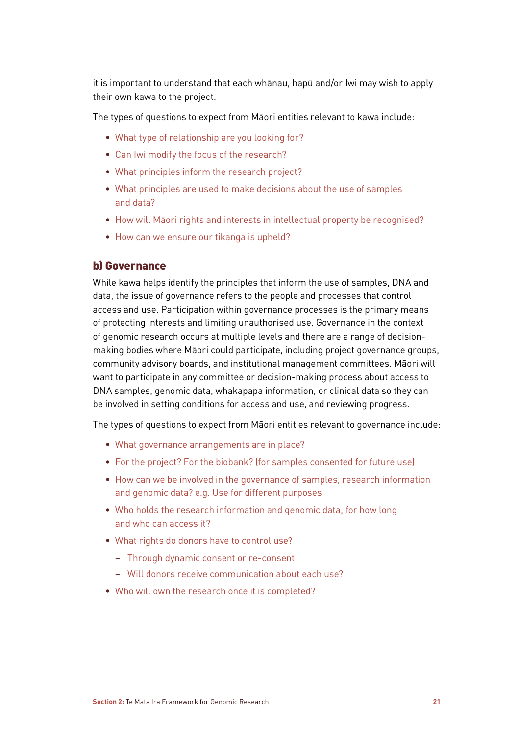it is important to understand that each whānau, hapū and/or Iwi may wish to apply their own kawa to the project.

The types of questions to expect from Māori entities relevant to kawa include:

- What type of relationship are you looking for?
- Can Iwi modify the focus of the research?
- What principles inform the research project?
- What principles are used to make decisions about the use of samples and data?
- How will Māori rights and interests in intellectual property be recognised?
- How can we ensure our tikanga is upheld?

#### b) Governance

While kawa helps identify the principles that inform the use of samples, DNA and data, the issue of governance refers to the people and processes that control access and use. Participation within governance processes is the primary means of protecting interests and limiting unauthorised use. Governance in the context of genomic research occurs at multiple levels and there are a range of decisionmaking bodies where Māori could participate, including project governance groups, community advisory boards, and institutional management committees. Māori will want to participate in any committee or decision-making process about access to DNA samples, genomic data, whakapapa information, or clinical data so they can be involved in setting conditions for access and use, and reviewing progress.

The types of questions to expect from Māori entities relevant to governance include:

- What governance arrangements are in place?
- For the project? For the biobank? (for samples consented for future use)
- How can we be involved in the governance of samples, research information and genomic data? e.g. Use for different purposes
- Who holds the research information and genomic data, for how long and who can access it?
- What rights do donors have to control use?
	- Through dynamic consent or re-consent
	- Will donors receive communication about each use?
- Who will own the research once it is completed?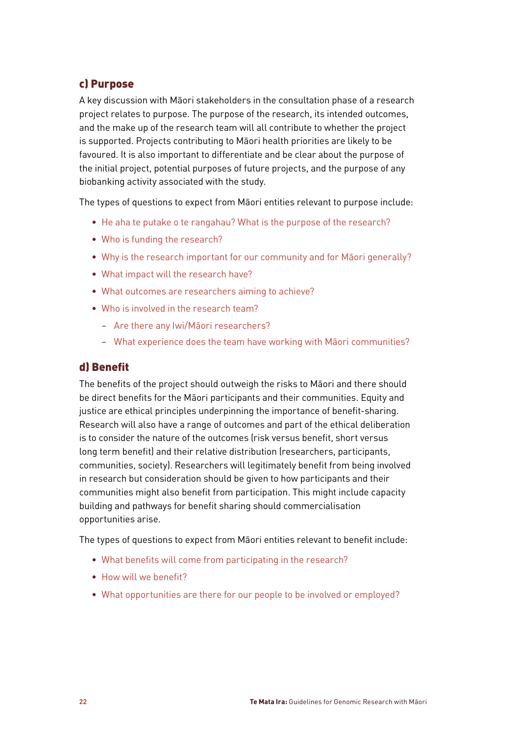#### c) Purpose

A key discussion with Māori stakeholders in the consultation phase of a research project relates to purpose. The purpose of the research, its intended outcomes, and the make up of the research team will all contribute to whether the project is supported. Projects contributing to Māori health priorities are likely to be favoured. It is also important to differentiate and be clear about the purpose of the initial project, potential purposes of future projects, and the purpose of any biobanking activity associated with the study.

The types of questions to expect from Māori entities relevant to purpose include:

- He aha te putake o te rangahau? What is the purpose of the research?
- Who is funding the research?
- Why is the research important for our community and for Māori generally?
- What impact will the research have?
- What outcomes are researchers aiming to achieve?
- Who is involved in the research team?
	- Are there any Iwi/Māori researchers?
	- What experience does the team have working with Māori communities?

#### d) Benefit

The benefits of the project should outweigh the risks to Māori and there should be direct benefits for the Māori participants and their communities. Equity and justice are ethical principles underpinning the importance of benefit-sharing. Research will also have a range of outcomes and part of the ethical deliberation is to consider the nature of the outcomes (risk versus benefit, short versus long term benefit) and their relative distribution (researchers, participants, communities, society). Researchers will legitimately benefit from being involved in research but consideration should be given to how participants and their communities might also benefit from participation. This might include capacity building and pathways for benefit sharing should commercialisation opportunities arise.

The types of questions to expect from Māori entities relevant to benefit include:

- What benefits will come from participating in the research?
- How will we benefit?
- What opportunities are there for our people to be involved or employed?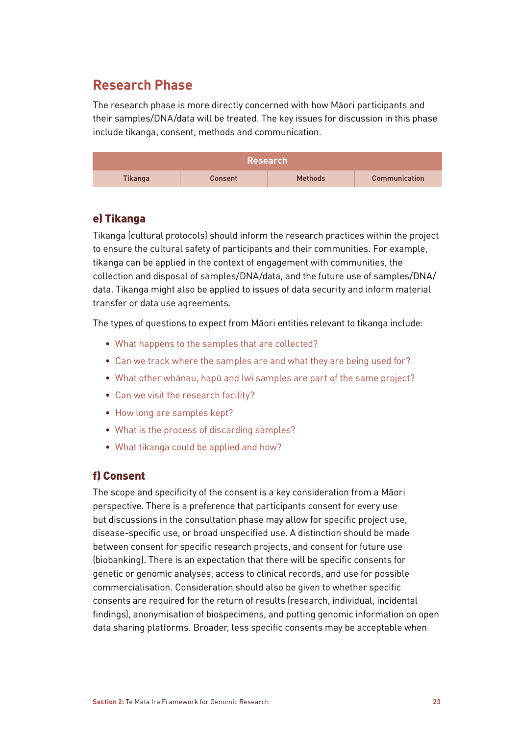## <span id="page-28-0"></span>**Research Phase**

The research phase is more directly concerned with how Māori participants and their samples/DNA/data will be treated. The key issues for discussion in this phase include tikanga, consent, methods and communication.

|         |                | <b>Research</b> |               |
|---------|----------------|-----------------|---------------|
| Tikanga | <b>Consent</b> | <b>Methods</b>  | Communication |

#### e) Tikanga

Tikanga (cultural protocols) should inform the research practices within the project to ensure the cultural safety of participants and their communities. For example, tikanga can be applied in the context of engagement with communities, the collection and disposal of samples/DNA/data, and the future use of samples/DNA/ data. Tikanga might also be applied to issues of data security and inform material transfer or data use agreements.

The types of questions to expect from Māori entities relevant to tikanga include:

- What happens to the samples that are collected?
- Can we track where the samples are and what they are being used for?
- What other whānau, hapū and Iwi samples are part of the same project?
- Can we visit the research facility?
- How long are samples kept?
- What is the process of discarding samples?
- What tikanga could be applied and how?

#### f) Consent

The scope and specificity of the consent is a key consideration from a Māori perspective. There is a preference that participants consent for every use but discussions in the consultation phase may allow for specific project use, disease-specific use, or broad unspecified use. A distinction should be made between consent for specific research projects, and consent for future use (biobanking). There is an expectation that there will be specific consents for genetic or genomic analyses, access to clinical records, and use for possible commercialisation. Consideration should also be given to whether specific consents are required for the return of results (research, individual, incidental findings), anonymisation of biospecimens, and putting genomic information on open data sharing platforms. Broader, less specific consents may be acceptable when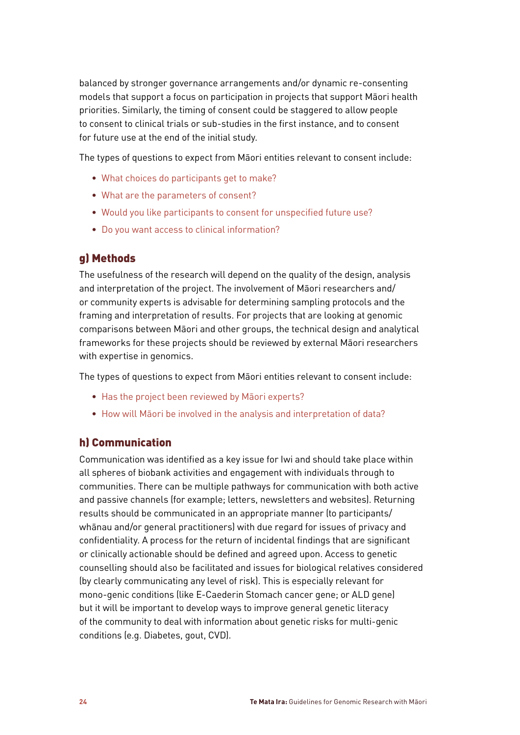balanced by stronger governance arrangements and/or dynamic re-consenting models that support a focus on participation in projects that support Māori health priorities. Similarly, the timing of consent could be staggered to allow people to consent to clinical trials or sub-studies in the first instance, and to consent for future use at the end of the initial study.

The types of questions to expect from Māori entities relevant to consent include:

- What choices do participants get to make?
- What are the parameters of consent?
- Would you like participants to consent for unspecified future use?
- Do you want access to clinical information?

#### g) Methods

The usefulness of the research will depend on the quality of the design, analysis and interpretation of the project. The involvement of Māori researchers and/ or community experts is advisable for determining sampling protocols and the framing and interpretation of results. For projects that are looking at genomic comparisons between Māori and other groups, the technical design and analytical frameworks for these projects should be reviewed by external Māori researchers with expertise in genomics.

The types of questions to expect from Māori entities relevant to consent include:

- Has the project been reviewed by Māori experts?
- How will Māori be involved in the analysis and interpretation of data?

#### h) Communication

Communication was identified as a key issue for Iwi and should take place within all spheres of biobank activities and engagement with individuals through to communities. There can be multiple pathways for communication with both active and passive channels (for example; letters, newsletters and websites). Returning results should be communicated in an appropriate manner (to participants/ whānau and/or general practitioners) with due regard for issues of privacy and confidentiality. A process for the return of incidental findings that are significant or clinically actionable should be defined and agreed upon. Access to genetic counselling should also be facilitated and issues for biological relatives considered (by clearly communicating any level of risk). This is especially relevant for mono-genic conditions (like E-Caederin Stomach cancer gene; or ALD gene) but it will be important to develop ways to improve general genetic literacy of the community to deal with information about genetic risks for multi-genic conditions (e.g. Diabetes, gout, CVD).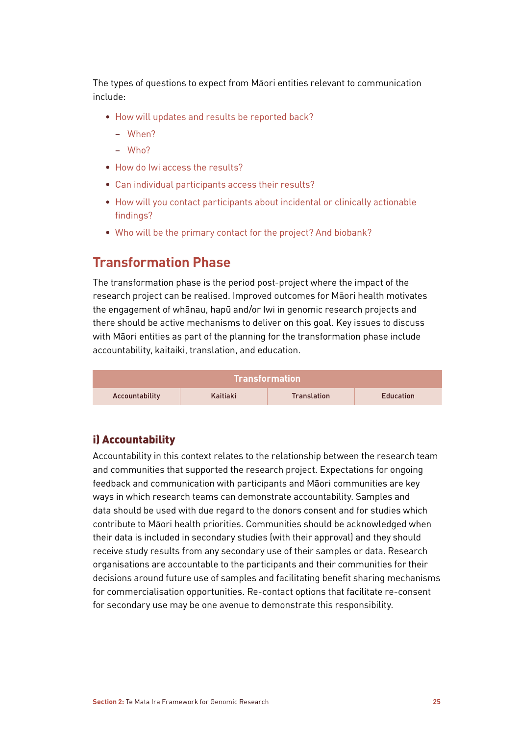<span id="page-30-0"></span>The types of questions to expect from Māori entities relevant to communication include:

- How will updates and results be reported back?
	- When?
	- $-$  Who?
- How do Iwi access the results?
- Can individual participants access their results?
- How will you contact participants about incidental or clinically actionable findings?
- Who will be the primary contact for the project? And biobank?

#### **Transformation Phase**

The transformation phase is the period post-project where the impact of the research project can be realised. Improved outcomes for Māori health motivates the engagement of whānau, hapū and/or Iwi in genomic research projects and there should be active mechanisms to deliver on this goal. Key issues to discuss with Māori entities as part of the planning for the transformation phase include accountability, kaitaiki, translation, and education.

|                |          | <b>Transformation</b> |                  |
|----------------|----------|-----------------------|------------------|
| Accountability | Kaitiaki | <b>Translation</b>    | <b>Education</b> |

#### i) Accountability

Accountability in this context relates to the relationship between the research team and communities that supported the research project. Expectations for ongoing feedback and communication with participants and Māori communities are key ways in which research teams can demonstrate accountability. Samples and data should be used with due regard to the donors consent and for studies which contribute to Māori health priorities. Communities should be acknowledged when their data is included in secondary studies (with their approval) and they should receive study results from any secondary use of their samples or data. Research organisations are accountable to the participants and their communities for their decisions around future use of samples and facilitating benefit sharing mechanisms for commercialisation opportunities. Re-contact options that facilitate re-consent for secondary use may be one avenue to demonstrate this responsibility.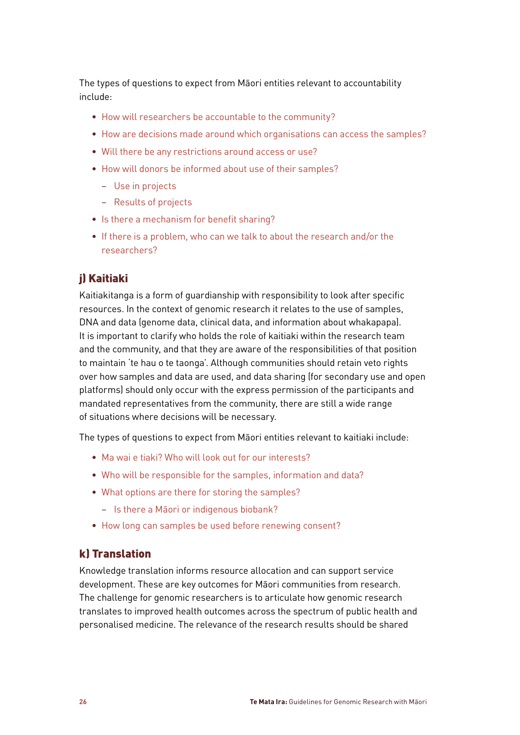The types of questions to expect from Māori entities relevant to accountability include:

- How will researchers be accountable to the community?
- How are decisions made around which organisations can access the samples?
- Will there be any restrictions around access or use?
- How will donors be informed about use of their samples?
	- Use in projects
	- Results of projects
- Is there a mechanism for benefit sharing?
- If there is a problem, who can we talk to about the research and/or the researchers?

#### j) Kaitiaki

Kaitiakitanga is a form of guardianship with responsibility to look after specific resources. In the context of genomic research it relates to the use of samples, DNA and data (genome data, clinical data, and information about whakapapa). It is important to clarify who holds the role of kaitiaki within the research team and the community, and that they are aware of the responsibilities of that position to maintain 'te hau o te taonga'. Although communities should retain veto rights over how samples and data are used, and data sharing (for secondary use and open platforms) should only occur with the express permission of the participants and mandated representatives from the community, there are still a wide range of situations where decisions will be necessary.

The types of questions to expect from Māori entities relevant to kaitiaki include:

- Ma wai e tiaki? Who will look out for our interests?
- Who will be responsible for the samples, information and data?
- What options are there for storing the samples?
	- Is there a Māori or indigenous biobank?
- How long can samples be used before renewing consent?

#### k) Translation

Knowledge translation informs resource allocation and can support service development. These are key outcomes for Māori communities from research. The challenge for genomic researchers is to articulate how genomic research translates to improved health outcomes across the spectrum of public health and personalised medicine. The relevance of the research results should be shared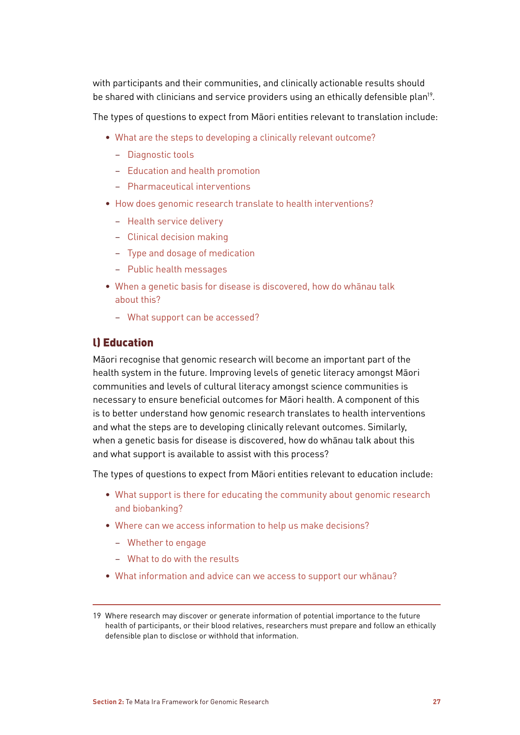with participants and their communities, and clinically actionable results should be shared with clinicians and service providers using an ethically defensible plan<sup>19</sup>.

The types of questions to expect from Māori entities relevant to translation include:

- What are the steps to developing a clinically relevant outcome?
	- Diagnostic tools
	- Education and health promotion
	- Pharmaceutical interventions
- How does genomic research translate to health interventions?
	- Health service delivery
	- Clinical decision making
	- Type and dosage of medication
	- Public health messages
- When a genetic basis for disease is discovered, how do whānau talk about this?
	- What support can be accessed?

#### l) Education

Māori recognise that genomic research will become an important part of the health system in the future. Improving levels of genetic literacy amongst Māori communities and levels of cultural literacy amongst science communities is necessary to ensure beneficial outcomes for Māori health. A component of this is to better understand how genomic research translates to health interventions and what the steps are to developing clinically relevant outcomes. Similarly, when a genetic basis for disease is discovered, how do whānau talk about this and what support is available to assist with this process?

The types of questions to expect from Māori entities relevant to education include:

- What support is there for educating the community about genomic research and biobanking?
- Where can we access information to help us make decisions?
	- Whether to engage
	- What to do with the results
- What information and advice can we access to support our whānau?

<sup>19</sup> Where research may discover or generate information of potential importance to the future health of participants, or their blood relatives, researchers must prepare and follow an ethically defensible plan to disclose or withhold that information.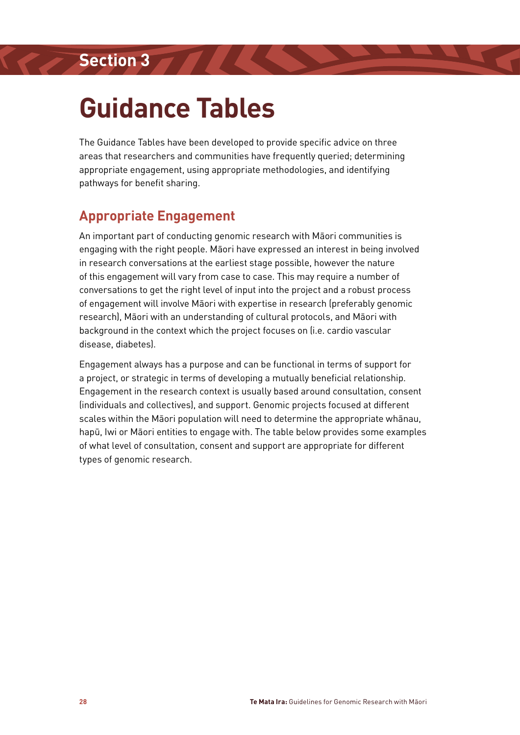## <span id="page-33-0"></span>**Section 3**

## **Guidance Tables**

The Guidance Tables have been developed to provide specific advice on three areas that researchers and communities have frequently queried; determining appropriate engagement, using appropriate methodologies, and identifying pathways for benefit sharing.

## **Appropriate Engagement**

An important part of conducting genomic research with Māori communities is engaging with the right people. Māori have expressed an interest in being involved in research conversations at the earliest stage possible, however the nature of this engagement will vary from case to case. This may require a number of conversations to get the right level of input into the project and a robust process of engagement will involve Māori with expertise in research (preferably genomic research), Māori with an understanding of cultural protocols, and Māori with background in the context which the project focuses on (i.e. cardio vascular disease, diabetes).

Engagement always has a purpose and can be functional in terms of support for a project, or strategic in terms of developing a mutually beneficial relationship. Engagement in the research context is usually based around consultation, consent (individuals and collectives), and support. Genomic projects focused at different scales within the Māori population will need to determine the appropriate whānau, hapū, Iwi or Māori entities to engage with. The table below provides some examples of what level of consultation, consent and support are appropriate for different types of genomic research.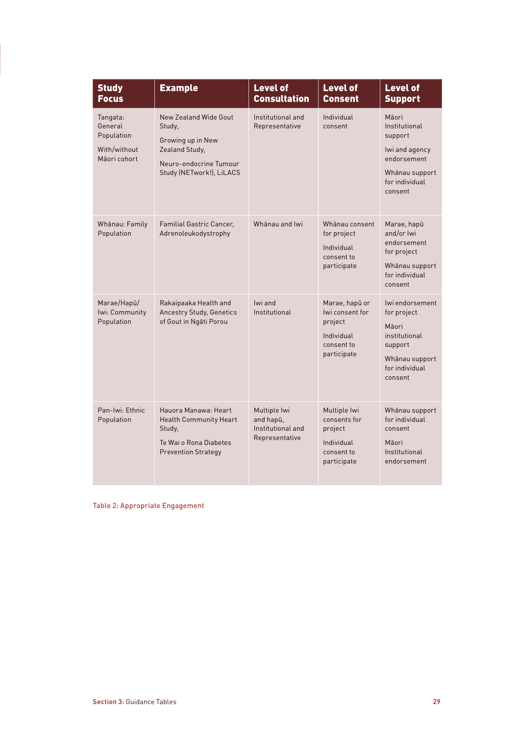| <b>Study</b><br><b>Focus</b>                                      | <b>Example</b>                                                                                                               | <b>Level of</b><br><b>Consultation</b>                           | <b>Level of</b><br><b>Consent</b>                                                       | <b>Level of</b><br><b>Support</b>                                                                                  |
|-------------------------------------------------------------------|------------------------------------------------------------------------------------------------------------------------------|------------------------------------------------------------------|-----------------------------------------------------------------------------------------|--------------------------------------------------------------------------------------------------------------------|
| Tangata:<br>General<br>Population<br>With/without<br>Māori cohort | New Zealand Wide Gout<br>Study,<br>Growing up in New<br>Zealand Study,<br>Neuro-endocrine Tumour<br>Study (NETwork!), LiLACS | Institutional and<br>Representative                              | Individual<br>consent                                                                   | Māori<br>Institutional<br>support<br>Iwi and agency<br>endorsement<br>Whānau support<br>for individual<br>consent  |
| Whānau: Family<br>Population                                      | <b>Familial Gastric Cancer,</b><br>Adrenoleukodystrophy                                                                      | Whanau and Iwi                                                   | Whanau consent<br>for project<br>Individual<br>consent to<br>participate                | Marae, hapū<br>and/or Iwi<br>endorsement<br>for project<br>Whānau support<br>for individual<br>consent             |
| Marae/Hapū/<br>Iwi: Community<br>Population                       | Rakaipaaka Health and<br><b>Ancestry Study, Genetics</b><br>of Gout in Ngāti Porou                                           | Iwi and<br>Institutional                                         | Marae, hapū or<br>Iwi consent for<br>project<br>Individual<br>consent to<br>participate | Iwi endorsement<br>for project<br>Māori<br>institutional<br>support<br>Whānau support<br>for individual<br>consent |
| Pan-Iwi: Ethnic<br>Population                                     | Hauora Manawa: Heart<br><b>Health Community Heart</b><br>Study,<br>Te Wai o Rona Diabetes<br><b>Prevention Strategy</b>      | Multiple Iwi<br>and hapū,<br>Institutional and<br>Representative | Multiple Iwi<br>consents for<br>project<br>Individual<br>consent to<br>participate      | Whānau support<br>for individual<br>consent<br>Māori<br>Institutional<br>endorsement                               |

<span id="page-34-0"></span>Table 2: Appropriate Engagement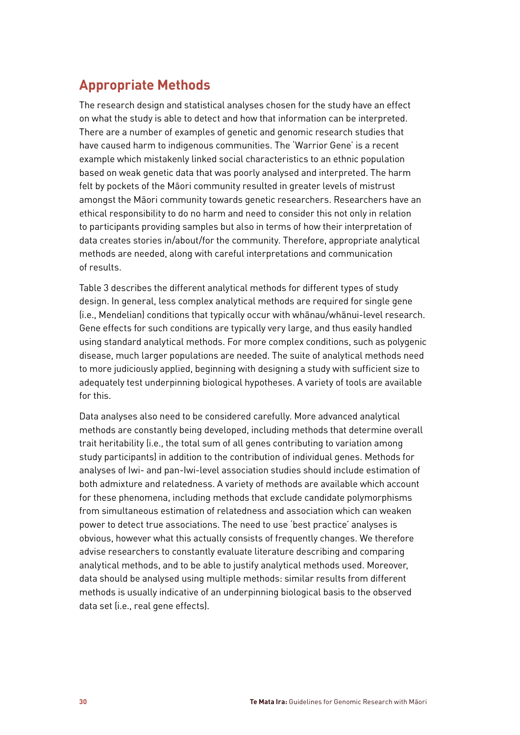## <span id="page-35-0"></span>**Appropriate Methods**

The research design and statistical analyses chosen for the study have an effect on what the study is able to detect and how that information can be interpreted. There are a number of examples of genetic and genomic research studies that have caused harm to indigenous communities. The 'Warrior Gene' is a recent example which mistakenly linked social characteristics to an ethnic population based on weak genetic data that was poorly analysed and interpreted. The harm felt by pockets of the Māori community resulted in greater levels of mistrust amongst the Māori community towards genetic researchers. Researchers have an ethical responsibility to do no harm and need to consider this not only in relation to participants providing samples but also in terms of how their interpretation of data creates stories in/about/for the community. Therefore, appropriate analytical methods are needed, along with careful interpretations and communication of results.

Table 3 describes the different analytical methods for different types of study design. In general, less complex analytical methods are required for single gene (i.e., Mendelian) conditions that typically occur with whānau/whānui-level research. Gene effects for such conditions are typically very large, and thus easily handled using standard analytical methods. For more complex conditions, such as polygenic disease, much larger populations are needed. The suite of analytical methods need to more judiciously applied, beginning with designing a study with sufficient size to adequately test underpinning biological hypotheses. A variety of tools are available for this.

Data analyses also need to be considered carefully. More advanced analytical methods are constantly being developed, including methods that determine overall trait heritability (i.e., the total sum of all genes contributing to variation among study participants) in addition to the contribution of individual genes. Methods for analyses of Iwi- and pan-Iwi-level association studies should include estimation of both admixture and relatedness. A variety of methods are available which account for these phenomena, including methods that exclude candidate polymorphisms from simultaneous estimation of relatedness and association which can weaken power to detect true associations. The need to use 'best practice' analyses is obvious, however what this actually consists of frequently changes. We therefore advise researchers to constantly evaluate literature describing and comparing analytical methods, and to be able to justify analytical methods used. Moreover, data should be analysed using multiple methods: similar results from different methods is usually indicative of an underpinning biological basis to the observed data set (i.e., real gene effects).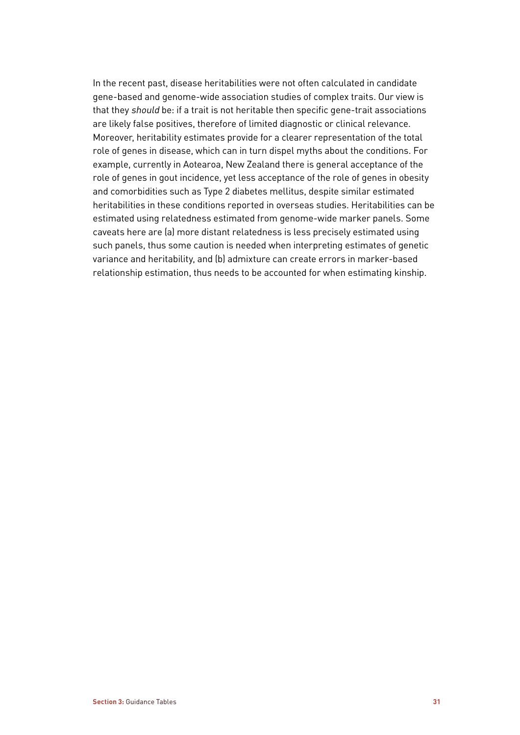In the recent past, disease heritabilities were not often calculated in candidate gene-based and genome-wide association studies of complex traits. Our view is that they should be: if a trait is not heritable then specific gene-trait associations are likely false positives, therefore of limited diagnostic or clinical relevance. Moreover, heritability estimates provide for a clearer representation of the total role of genes in disease, which can in turn dispel myths about the conditions. For example, currently in Aotearoa, New Zealand there is general acceptance of the role of genes in gout incidence, yet less acceptance of the role of genes in obesity and comorbidities such as Type 2 diabetes mellitus, despite similar estimated heritabilities in these conditions reported in overseas studies. Heritabilities can be estimated using relatedness estimated from genome-wide marker panels. Some caveats here are (a) more distant relatedness is less precisely estimated using such panels, thus some caution is needed when interpreting estimates of genetic variance and heritability, and (b) admixture can create errors in marker-based relationship estimation, thus needs to be accounted for when estimating kinship.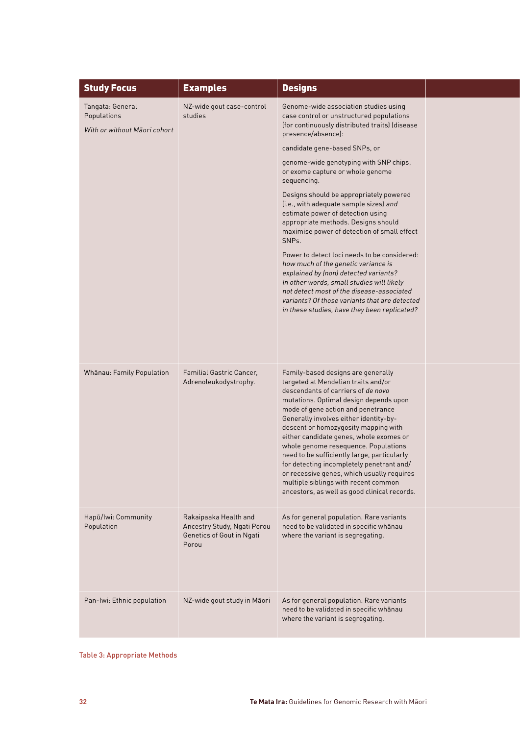| <b>Study Focus</b>                                              | <b>Examples</b>                                                                            | <b>Designs</b>                                                                                                                                                                                                                                                                                                                                                                                                                                                                                                                                                                                         |  |
|-----------------------------------------------------------------|--------------------------------------------------------------------------------------------|--------------------------------------------------------------------------------------------------------------------------------------------------------------------------------------------------------------------------------------------------------------------------------------------------------------------------------------------------------------------------------------------------------------------------------------------------------------------------------------------------------------------------------------------------------------------------------------------------------|--|
| Tangata: General<br>Populations<br>With or without Māori cohort | NZ-wide gout case-control<br>studies                                                       | Genome-wide association studies using<br>case control or unstructured populations<br>(for continuously distributed traits) (disease<br>presence/absence):                                                                                                                                                                                                                                                                                                                                                                                                                                              |  |
|                                                                 |                                                                                            | candidate gene-based SNPs, or                                                                                                                                                                                                                                                                                                                                                                                                                                                                                                                                                                          |  |
|                                                                 |                                                                                            | genome-wide genotyping with SNP chips,<br>or exome capture or whole genome<br>sequencing.                                                                                                                                                                                                                                                                                                                                                                                                                                                                                                              |  |
|                                                                 |                                                                                            | Designs should be appropriately powered<br>(i.e., with adequate sample sizes) and<br>estimate power of detection using<br>appropriate methods. Designs should<br>maximise power of detection of small effect<br>SNPs.                                                                                                                                                                                                                                                                                                                                                                                  |  |
|                                                                 |                                                                                            | Power to detect loci needs to be considered:<br>how much of the genetic variance is<br>explained by (non) detected variants?<br>In other words, small studies will likely<br>not detect most of the disease-associated<br>variants? Of those variants that are detected<br>in these studies, have they been replicated?                                                                                                                                                                                                                                                                                |  |
| Whānau: Family Population                                       | Familial Gastric Cancer,<br>Adrenoleukodystrophy.                                          | Family-based designs are generally<br>targeted at Mendelian traits and/or<br>descendants of carriers of de novo<br>mutations. Optimal design depends upon<br>mode of gene action and penetrance<br>Generally involves either identity-by-<br>descent or homozygosity mapping with<br>either candidate genes, whole exomes or<br>whole genome resequence. Populations<br>need to be sufficiently large, particularly<br>for detecting incompletely penetrant and/<br>or recessive genes, which usually requires<br>multiple siblings with recent common<br>ancestors, as well as good clinical records. |  |
| Hapū/Iwi: Community<br>Population                               | Rakaipaaka Health and<br>Ancestry Study, Ngati Porou<br>Genetics of Gout in Ngati<br>Porou | As for general population. Rare variants<br>need to be validated in specific whānau<br>where the variant is segregating.                                                                                                                                                                                                                                                                                                                                                                                                                                                                               |  |
| Pan-Iwi: Ethnic population                                      | NZ-wide gout study in Māori                                                                | As for general population. Rare variants<br>need to be validated in specific whanau<br>where the variant is segregating.                                                                                                                                                                                                                                                                                                                                                                                                                                                                               |  |

#### Table 3: Appropriate Methods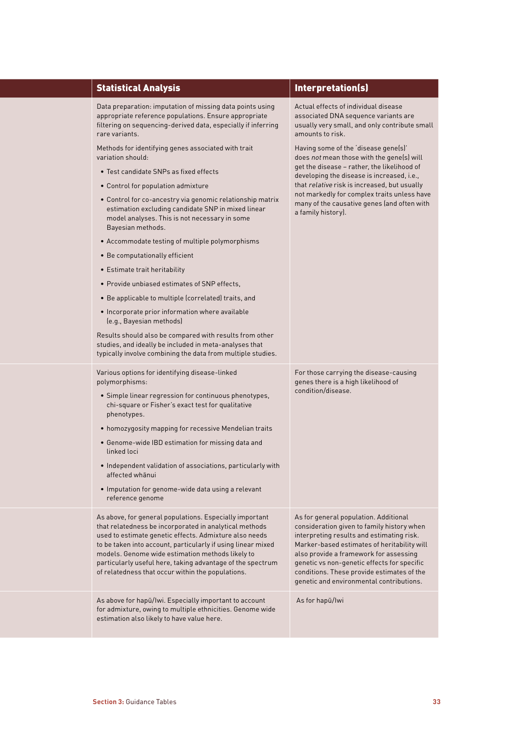<span id="page-38-0"></span>

| <b>Statistical Analysis</b>                                                                                                                                                                                                                                                                                                                                                                                        | Interpretation(s)                                                                                                                                                                                                                                                                                                                                                  |
|--------------------------------------------------------------------------------------------------------------------------------------------------------------------------------------------------------------------------------------------------------------------------------------------------------------------------------------------------------------------------------------------------------------------|--------------------------------------------------------------------------------------------------------------------------------------------------------------------------------------------------------------------------------------------------------------------------------------------------------------------------------------------------------------------|
| Data preparation: imputation of missing data points using<br>appropriate reference populations. Ensure appropriate<br>filtering on sequencing-derived data, especially if inferring<br>rare variants.                                                                                                                                                                                                              | Actual effects of individual disease<br>associated DNA sequence variants are<br>usually very small, and only contribute small<br>amounts to risk.                                                                                                                                                                                                                  |
| Methods for identifying genes associated with trait<br>variation should:                                                                                                                                                                                                                                                                                                                                           | Having some of the 'disease gene(s)'<br>does not mean those with the gene(s) will                                                                                                                                                                                                                                                                                  |
| • Test candidate SNPs as fixed effects                                                                                                                                                                                                                                                                                                                                                                             | get the disease - rather, the likelihood of<br>developing the disease is increased, i.e.,                                                                                                                                                                                                                                                                          |
| • Control for population admixture                                                                                                                                                                                                                                                                                                                                                                                 | that relative risk is increased, but usually                                                                                                                                                                                                                                                                                                                       |
| • Control for co-ancestry via genomic relationship matrix<br>estimation excluding candidate SNP in mixed linear<br>model analyses. This is not necessary in some<br>Bayesian methods.                                                                                                                                                                                                                              | not markedly for complex traits unless have<br>many of the causative genes (and often with<br>a family history).                                                                                                                                                                                                                                                   |
| • Accommodate testing of multiple polymorphisms                                                                                                                                                                                                                                                                                                                                                                    |                                                                                                                                                                                                                                                                                                                                                                    |
| • Be computationally efficient                                                                                                                                                                                                                                                                                                                                                                                     |                                                                                                                                                                                                                                                                                                                                                                    |
| • Estimate trait heritability                                                                                                                                                                                                                                                                                                                                                                                      |                                                                                                                                                                                                                                                                                                                                                                    |
| • Provide unbiased estimates of SNP effects,                                                                                                                                                                                                                                                                                                                                                                       |                                                                                                                                                                                                                                                                                                                                                                    |
| • Be applicable to multiple (correlated) traits, and                                                                                                                                                                                                                                                                                                                                                               |                                                                                                                                                                                                                                                                                                                                                                    |
| • Incorporate prior information where available<br>(e.g., Bayesian methods)                                                                                                                                                                                                                                                                                                                                        |                                                                                                                                                                                                                                                                                                                                                                    |
| Results should also be compared with results from other<br>studies, and ideally be included in meta-analyses that<br>typically involve combining the data from multiple studies.                                                                                                                                                                                                                                   |                                                                                                                                                                                                                                                                                                                                                                    |
| Various options for identifying disease-linked<br>polymorphisms:                                                                                                                                                                                                                                                                                                                                                   | For those carrying the disease-causing<br>genes there is a high likelihood of<br>condition/disease.                                                                                                                                                                                                                                                                |
| · Simple linear regression for continuous phenotypes,<br>chi-square or Fisher's exact test for qualitative<br>phenotypes.                                                                                                                                                                                                                                                                                          |                                                                                                                                                                                                                                                                                                                                                                    |
| • homozygosity mapping for recessive Mendelian traits                                                                                                                                                                                                                                                                                                                                                              |                                                                                                                                                                                                                                                                                                                                                                    |
| • Genome-wide IBD estimation for missing data and<br>linked loci                                                                                                                                                                                                                                                                                                                                                   |                                                                                                                                                                                                                                                                                                                                                                    |
| . Independent validation of associations, particularly with<br>affected whānui                                                                                                                                                                                                                                                                                                                                     |                                                                                                                                                                                                                                                                                                                                                                    |
| • Imputation for genome-wide data using a relevant<br>reference genome                                                                                                                                                                                                                                                                                                                                             |                                                                                                                                                                                                                                                                                                                                                                    |
| As above, for general populations. Especially important<br>that relatedness be incorporated in analytical methods<br>used to estimate genetic effects. Admixture also needs<br>to be taken into account, particularly if using linear mixed<br>models. Genome wide estimation methods likely to<br>particularly useful here, taking advantage of the spectrum<br>of relatedness that occur within the populations. | As for general population. Additional<br>consideration given to family history when<br>interpreting results and estimating risk.<br>Marker-based estimates of heritability will<br>also provide a framework for assessing<br>genetic vs non-genetic effects for specific<br>conditions. These provide estimates of the<br>genetic and environmental contributions. |
| As above for hapū/lwi. Especially important to account<br>for admixture, owing to multiple ethnicities. Genome wide<br>estimation also likely to have value here.                                                                                                                                                                                                                                                  | As for hapū/lwi                                                                                                                                                                                                                                                                                                                                                    |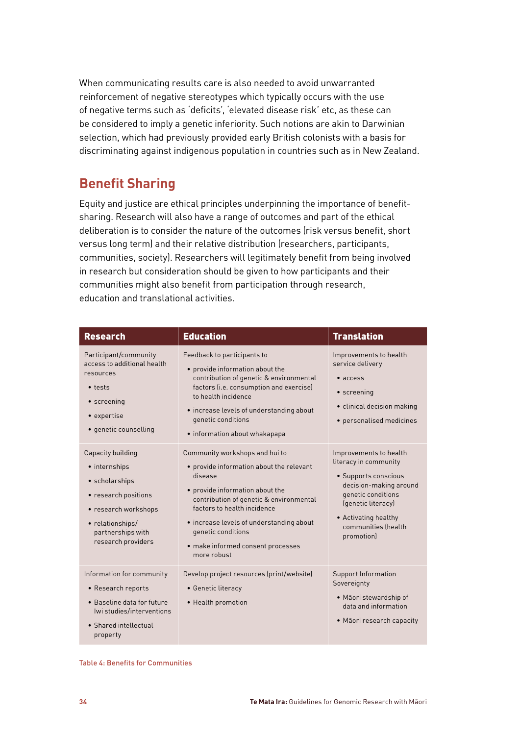<span id="page-39-0"></span>When communicating results care is also needed to avoid unwarranted reinforcement of negative stereotypes which typically occurs with the use of negative terms such as 'deficits', 'elevated disease risk' etc, as these can be considered to imply a genetic inferiority. Such notions are akin to Darwinian selection, which had previously provided early British colonists with a basis for discriminating against indigenous population in countries such as in New Zealand.

### **Benefit Sharing**

Equity and justice are ethical principles underpinning the importance of benefitsharing. Research will also have a range of outcomes and part of the ethical deliberation is to consider the nature of the outcomes (risk versus benefit, short versus long term) and their relative distribution (researchers, participants, communities, society). Researchers will legitimately benefit from being involved in research but consideration should be given to how participants and their communities might also benefit from participation through research, education and translational activities.

<span id="page-39-1"></span>

| <b>Research</b>                                                                                                                                                     | <b>Education</b>                                                                                                                                                                                                                                                                                                         | <b>Translation</b>                                                                                                                                                                                         |
|---------------------------------------------------------------------------------------------------------------------------------------------------------------------|--------------------------------------------------------------------------------------------------------------------------------------------------------------------------------------------------------------------------------------------------------------------------------------------------------------------------|------------------------------------------------------------------------------------------------------------------------------------------------------------------------------------------------------------|
| Participant/community<br>access to additional health<br>resources<br>• tests<br>• screening<br>• expertise<br>· genetic counselling                                 | Feedback to participants to<br>• provide information about the<br>contribution of genetic & environmental<br>factors (i.e. consumption and exercise)<br>to health incidence<br>• increase levels of understanding about<br>genetic conditions<br>• information about whakapapa                                           | Improvements to health<br>service delivery<br>$\bullet$ access<br>• screening<br>· clinical decision making<br>• personalised medicines                                                                    |
| Capacity building<br>• internships<br>• scholarships<br>• research positions<br>• research workshops<br>• relationships/<br>partnerships with<br>research providers | Community workshops and hui to<br>• provide information about the relevant<br>disease<br>• provide information about the<br>contribution of genetic & environmental<br>factors to health incidence<br>• increase levels of understanding about<br>genetic conditions<br>• make informed consent processes<br>more robust | Improvements to health<br>literacy in community<br>· Supports conscious<br>decision-making around<br>genetic conditions<br>(genetic literacy)<br>• Activating healthy<br>communities (health<br>promotion) |
| Information for community<br>• Research reports<br>• Baseline data for future<br>Iwi studies/interventions<br>• Shared intellectual<br>property                     | Develop project resources (print/website)<br>• Genetic literacy<br>• Health promotion                                                                                                                                                                                                                                    | <b>Support Information</b><br>Sovereignty<br>· Māori stewardship of<br>data and information<br>• Māori research capacity                                                                                   |

Table 4: Benefits for Communities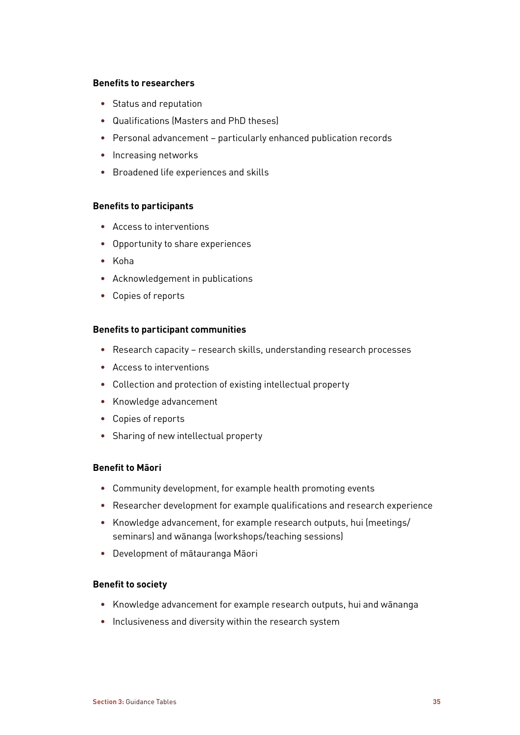#### **Benefits to researchers**

- Status and reputation
- Qualifications (Masters and PhD theses)
- Personal advancement particularly enhanced publication records
- Increasing networks
- Broadened life experiences and skills

#### **Benefits to participants**

- Access to interventions
- Opportunity to share experiences
- Koha
- Acknowledgement in publications
- Copies of reports

#### **Benefits to participant communities**

- Research capacity research skills, understanding research processes
- Access to interventions
- Collection and protection of existing intellectual property
- Knowledge advancement
- Copies of reports
- Sharing of new intellectual property

#### **Benefit to Māori**

- Community development, for example health promoting events
- Researcher development for example qualifications and research experience
- Knowledge advancement, for example research outputs, hui (meetings/ seminars) and wānanga (workshops/teaching sessions)
- Development of mātauranga Māori

#### **Benefit to society**

- Knowledge advancement for example research outputs, hui and wānanga
- Inclusiveness and diversity within the research system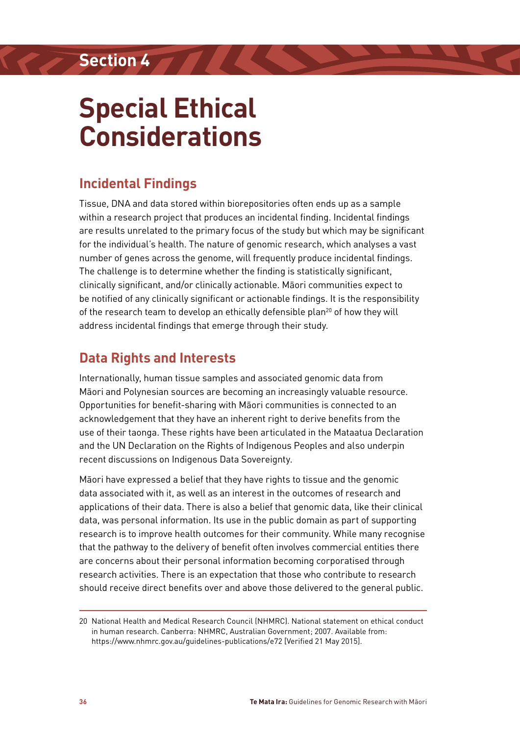## <span id="page-41-0"></span>**Special Ethical Considerations**

## **Incidental Findings**

Tissue, DNA and data stored within biorepositories often ends up as a sample within a research project that produces an incidental finding. Incidental findings are results unrelated to the primary focus of the study but which may be significant for the individual's health. The nature of genomic research, which analyses a vast number of genes across the genome, will frequently produce incidental findings. The challenge is to determine whether the finding is statistically significant, clinically significant, and/or clinically actionable. Māori communities expect to be notified of any clinically significant or actionable findings. It is the responsibility of the research team to develop an ethically defensible plan<sup>20</sup> of how they will address incidental findings that emerge through their study.

## **Data Rights and Interests**

Internationally, human tissue samples and associated genomic data from Māori and Polynesian sources are becoming an increasingly valuable resource. Opportunities for benefit-sharing with Māori communities is connected to an acknowledgement that they have an inherent right to derive benefits from the use of their taonga. These rights have been articulated in the Mataatua Declaration and the UN Declaration on the Rights of Indigenous Peoples and also underpin recent discussions on Indigenous Data Sovereignty.

Māori have expressed a belief that they have rights to tissue and the genomic data associated with it, as well as an interest in the outcomes of research and applications of their data. There is also a belief that genomic data, like their clinical data, was personal information. Its use in the public domain as part of supporting research is to improve health outcomes for their community. While many recognise that the pathway to the delivery of benefit often involves commercial entities there are concerns about their personal information becoming corporatised through research activities. There is an expectation that those who contribute to research should receive direct benefits over and above those delivered to the general public.

<sup>20</sup> National Health and Medical Research Council (NHMRC). National statement on ethical conduct in human research. Canberra: NHMRC, Australian Government; 2007. Available from: <https://www.nhmrc.gov.au/guidelines-publications/e72> [Verified 21 May 2015].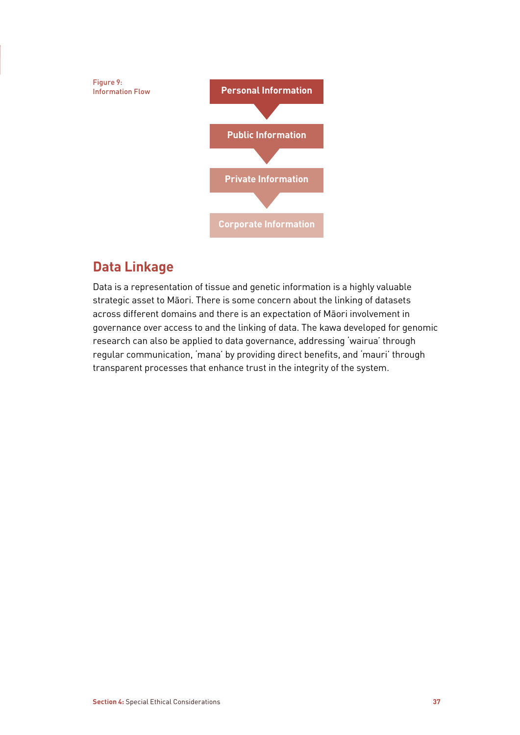<span id="page-42-1"></span><span id="page-42-0"></span>

## **Data Linkage**

Data is a representation of tissue and genetic information is a highly valuable strategic asset to Māori. There is some concern about the linking of datasets across different domains and there is an expectation of Māori involvement in governance over access to and the linking of data. The kawa developed for genomic research can also be applied to data governance, addressing 'wairua' through regular communication, 'mana' by providing direct benefits, and 'mauri' through transparent processes that enhance trust in the integrity of the system.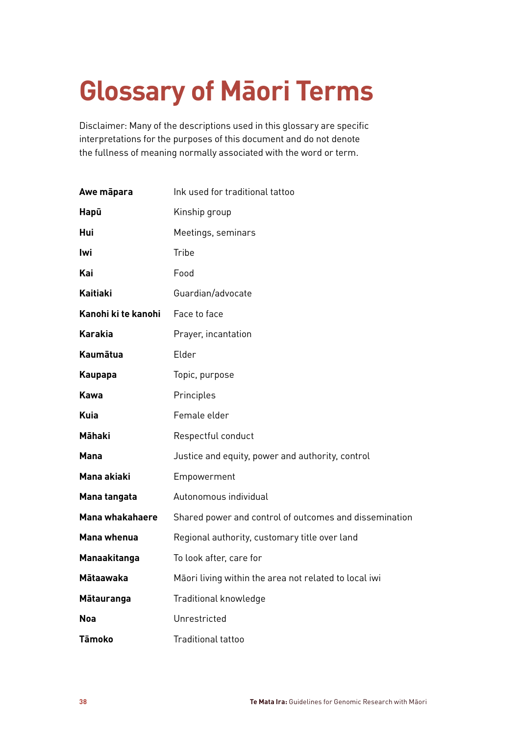## <span id="page-43-0"></span>**Glossary of Māori Terms**

Disclaimer: Many of the descriptions used in this glossary are specific interpretations for the purposes of this document and do not denote the fullness of meaning normally associated with the word or term.

| Awe māpara          | Ink used for traditional tattoo                        |
|---------------------|--------------------------------------------------------|
| Hapū                | Kinship group                                          |
| Hui                 | Meetings, seminars                                     |
| lwi                 | Tribe                                                  |
| Kai                 | Food                                                   |
| Kaitiaki            | Guardian/advocate                                      |
| Kanohi ki te kanohi | Face to face                                           |
| <b>Karakia</b>      | Prayer, incantation                                    |
| <b>Kaumātua</b>     | Elder                                                  |
| <b>Kaupapa</b>      | Topic, purpose                                         |
| Kawa                | Principles                                             |
| <b>Kuia</b>         | Female elder                                           |
| <b>Māhaki</b>       | Respectful conduct                                     |
| <b>Mana</b>         | Justice and equity, power and authority, control       |
| Mana akiaki         | Empowerment                                            |
| Mana tangata        | Autonomous individual                                  |
| Mana whakahaere     | Shared power and control of outcomes and dissemination |
| Mana whenua         | Regional authority, customary title over land          |
| <b>Manaakitanga</b> | To look after, care for                                |
| Mātaawaka           | Māori living within the area not related to local iwi  |
| <b>Mātauranga</b>   | Traditional knowledge                                  |
| <b>Noa</b>          | Unrestricted                                           |
| Tāmoko              | Traditional tattoo                                     |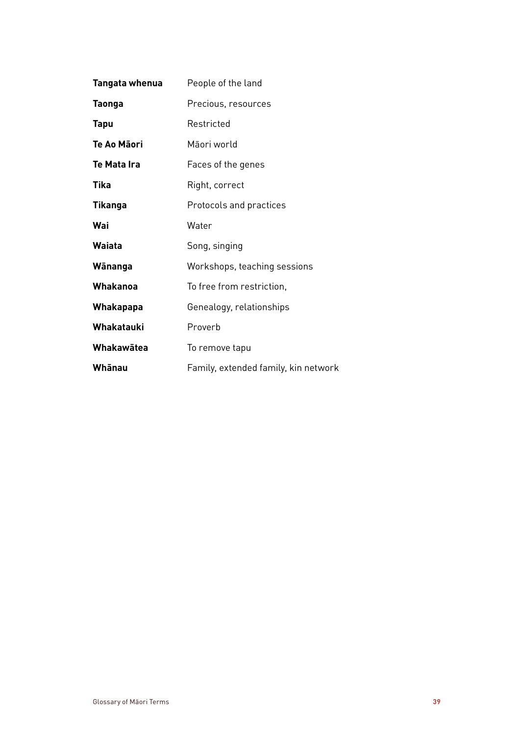| Tangata whenua | People of the land                   |
|----------------|--------------------------------------|
| <b>Taonga</b>  | Precious, resources                  |
| <b>Tapu</b>    | Restricted                           |
| Te Ao Māori    | Māori world                          |
| Te Mata Ira    | Faces of the genes                   |
| Tika           | Right, correct                       |
| <b>Tikanga</b> | Protocols and practices              |
| Wai            | Water                                |
| Waiata         | Song, singing                        |
| Wānanga        | Workshops, teaching sessions         |
| Whakanoa       | To free from restriction,            |
| Whakapapa      | Genealogy, relationships             |
| Whakatauki     | Proverb                              |
| Whakawātea     | To remove tapu                       |
| Whānau         | Family, extended family, kin network |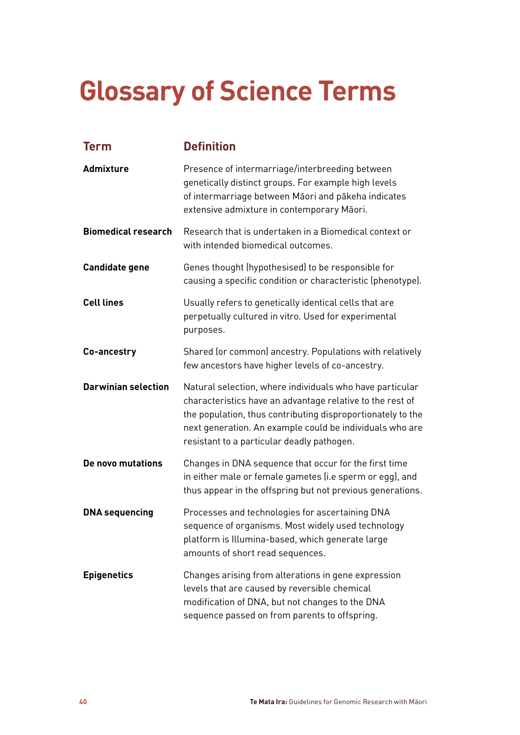## <span id="page-45-0"></span>**Glossary of Science Terms**

| <b>Term</b>                | <b>Definition</b>                                                                                                                                                                                                                                                                              |
|----------------------------|------------------------------------------------------------------------------------------------------------------------------------------------------------------------------------------------------------------------------------------------------------------------------------------------|
| <b>Admixture</b>           | Presence of intermarriage/interbreeding between<br>genetically distinct groups. For example high levels<br>of intermarriage between Māori and pākeha indicates<br>extensive admixture in contemporary Māori.                                                                                   |
| <b>Biomedical research</b> | Research that is undertaken in a Biomedical context or<br>with intended biomedical outcomes.                                                                                                                                                                                                   |
| <b>Candidate gene</b>      | Genes thought (hypothesised) to be responsible for<br>causing a specific condition or characteristic (phenotype).                                                                                                                                                                              |
| <b>Cell lines</b>          | Usually refers to genetically identical cells that are<br>perpetually cultured in vitro. Used for experimental<br>purposes.                                                                                                                                                                    |
| Co-ancestry                | Shared (or common) ancestry. Populations with relatively<br>few ancestors have higher levels of co-ancestry.                                                                                                                                                                                   |
| <b>Darwinian selection</b> | Natural selection, where individuals who have particular<br>characteristics have an advantage relative to the rest of<br>the population, thus contributing disproportionately to the<br>next generation. An example could be individuals who are<br>resistant to a particular deadly pathogen. |
| De novo mutations          | Changes in DNA sequence that occur for the first time<br>in either male or female gametes (i.e sperm or egg), and<br>thus appear in the offspring but not previous generations.                                                                                                                |
| <b>DNA sequencing</b>      | Processes and technologies for ascertaining DNA<br>sequence of organisms. Most widely used technology<br>platform is Illumina-based, which generate large<br>amounts of short read sequences.                                                                                                  |
| <b>Epigenetics</b>         | Changes arising from alterations in gene expression<br>levels that are caused by reversible chemical<br>modification of DNA, but not changes to the DNA<br>sequence passed on from parents to offspring.                                                                                       |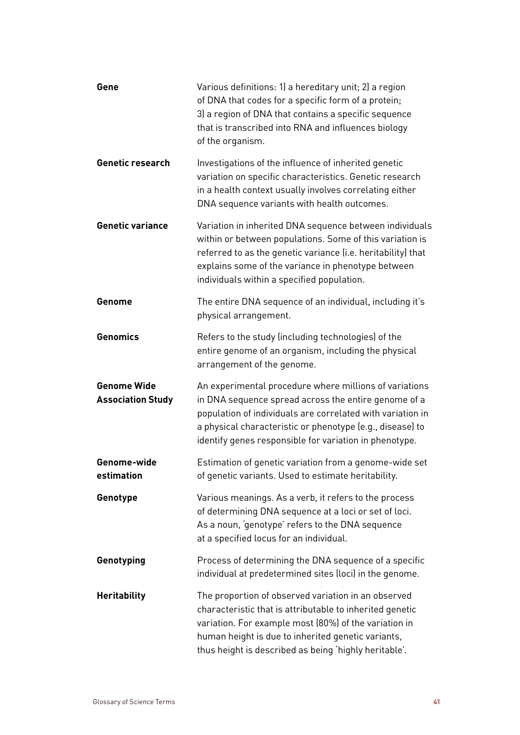| Gene                                           | Various definitions: 1) a hereditary unit; 2) a region<br>of DNA that codes for a specific form of a protein;<br>3) a region of DNA that contains a specific sequence<br>that is transcribed into RNA and influences biology<br>of the organism.                                                    |
|------------------------------------------------|-----------------------------------------------------------------------------------------------------------------------------------------------------------------------------------------------------------------------------------------------------------------------------------------------------|
| <b>Genetic research</b>                        | Investigations of the influence of inherited genetic<br>variation on specific characteristics. Genetic research<br>in a health context usually involves correlating either<br>DNA sequence variants with health outcomes.                                                                           |
| <b>Genetic variance</b>                        | Variation in inherited DNA sequence between individuals<br>within or between populations. Some of this variation is<br>referred to as the genetic variance (i.e. heritability) that<br>explains some of the variance in phenotype between<br>individuals within a specified population.             |
| Genome                                         | The entire DNA sequence of an individual, including it's<br>physical arrangement.                                                                                                                                                                                                                   |
| <b>Genomics</b>                                | Refers to the study (including technologies) of the<br>entire genome of an organism, including the physical<br>arrangement of the genome.                                                                                                                                                           |
| <b>Genome Wide</b><br><b>Association Study</b> | An experimental procedure where millions of variations<br>in DNA sequence spread across the entire genome of a<br>population of individuals are correlated with variation in<br>a physical characteristic or phenotype (e.g., disease) to<br>identify genes responsible for variation in phenotype. |
| Genome-wide<br>estimation                      | Estimation of genetic variation from a genome-wide set<br>of genetic variants. Used to estimate heritability.                                                                                                                                                                                       |
| Genotype                                       | Various meanings. As a verb, it refers to the process<br>of determining DNA sequence at a loci or set of loci.<br>As a noun, 'genotype' refers to the DNA sequence<br>at a specified locus for an individual.                                                                                       |
| Genotyping                                     | Process of determining the DNA sequence of a specific<br>individual at predetermined sites (loci) in the genome.                                                                                                                                                                                    |
| <b>Heritability</b>                            | The proportion of observed variation in an observed<br>characteristic that is attributable to inherited genetic<br>variation. For example most (80%) of the variation in<br>human height is due to inherited genetic variants,<br>thus height is described as being 'highly heritable'.             |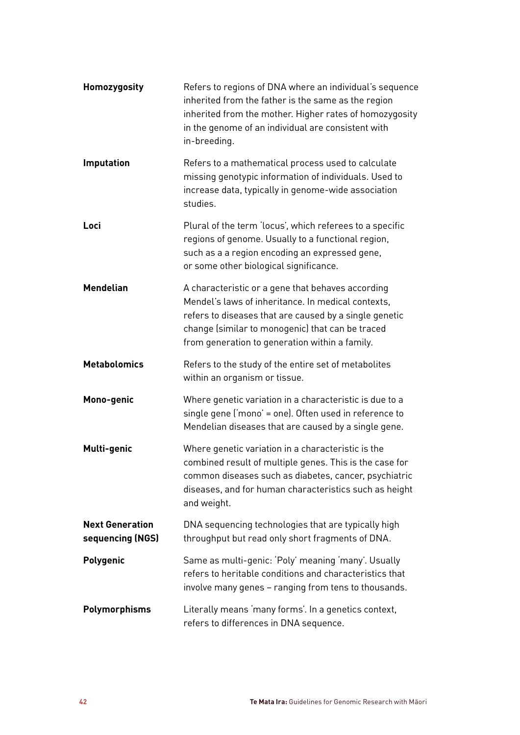| Homozygosity                               | Refers to regions of DNA where an individual's sequence<br>inherited from the father is the same as the region<br>inherited from the mother. Higher rates of homozygosity<br>in the genome of an individual are consistent with<br>in-breeding.                         |
|--------------------------------------------|-------------------------------------------------------------------------------------------------------------------------------------------------------------------------------------------------------------------------------------------------------------------------|
| <b>Imputation</b>                          | Refers to a mathematical process used to calculate<br>missing genotypic information of individuals. Used to<br>increase data, typically in genome-wide association<br>studies.                                                                                          |
| Loci                                       | Plural of the term 'locus', which referees to a specific<br>regions of genome. Usually to a functional region,<br>such as a a region encoding an expressed gene,<br>or some other biological significance.                                                              |
| <b>Mendelian</b>                           | A characteristic or a gene that behaves according<br>Mendel's laws of inheritance. In medical contexts,<br>refers to diseases that are caused by a single genetic<br>change (similar to monogenic) that can be traced<br>from generation to generation within a family. |
| <b>Metabolomics</b>                        | Refers to the study of the entire set of metabolites<br>within an organism or tissue.                                                                                                                                                                                   |
| Mono-genic                                 | Where genetic variation in a characteristic is due to a<br>single gene ('mono' = one). Often used in reference to<br>Mendelian diseases that are caused by a single gene.                                                                                               |
| Multi-genic                                | Where genetic variation in a characteristic is the<br>combined result of multiple genes. This is the case for<br>common diseases such as diabetes, cancer, psychiatric<br>diseases, and for human characteristics such as height<br>and weight.                         |
| <b>Next Generation</b><br>sequencing (NGS) | DNA sequencing technologies that are typically high<br>throughput but read only short fragments of DNA.                                                                                                                                                                 |
| Polygenic                                  | Same as multi-genic: 'Poly' meaning 'many'. Usually<br>refers to heritable conditions and characteristics that<br>involve many genes - ranging from tens to thousands.                                                                                                  |
| <b>Polymorphisms</b>                       | Literally means 'many forms'. In a genetics context,<br>refers to differences in DNA sequence.                                                                                                                                                                          |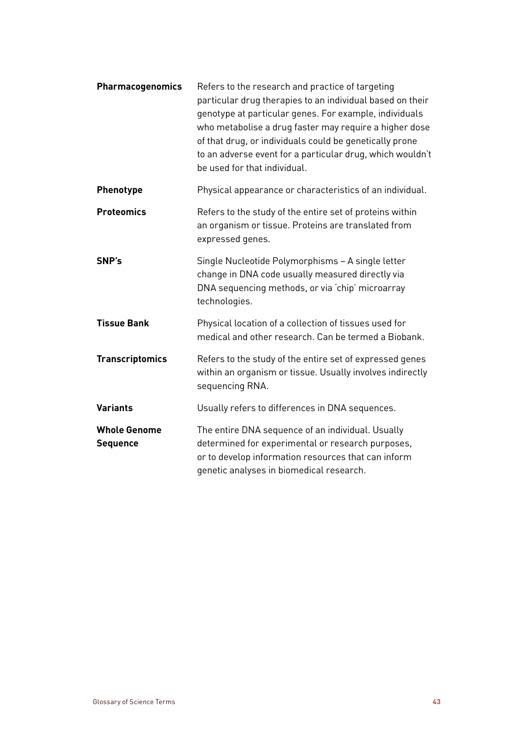| <b>Pharmacogenomics</b>                | Refers to the research and practice of targeting<br>particular drug therapies to an individual based on their<br>genotype at particular genes. For example, individuals<br>who metabolise a drug faster may require a higher dose<br>of that drug, or individuals could be genetically prone<br>to an adverse event for a particular drug, which wouldn't<br>be used for that individual. |
|----------------------------------------|-------------------------------------------------------------------------------------------------------------------------------------------------------------------------------------------------------------------------------------------------------------------------------------------------------------------------------------------------------------------------------------------|
| Phenotype                              | Physical appearance or characteristics of an individual.                                                                                                                                                                                                                                                                                                                                  |
| <b>Proteomics</b>                      | Refers to the study of the entire set of proteins within<br>an organism or tissue. Proteins are translated from<br>expressed genes.                                                                                                                                                                                                                                                       |
| SNP's                                  | Single Nucleotide Polymorphisms - A single letter<br>change in DNA code usually measured directly via<br>DNA sequencing methods, or via 'chip' microarray<br>technologies.                                                                                                                                                                                                                |
| <b>Tissue Bank</b>                     | Physical location of a collection of tissues used for<br>medical and other research. Can be termed a Biobank.                                                                                                                                                                                                                                                                             |
| <b>Transcriptomics</b>                 | Refers to the study of the entire set of expressed genes<br>within an organism or tissue. Usually involves indirectly<br>sequencing RNA.                                                                                                                                                                                                                                                  |
| <b>Variants</b>                        | Usually refers to differences in DNA sequences.                                                                                                                                                                                                                                                                                                                                           |
| <b>Whole Genome</b><br><b>Sequence</b> | The entire DNA sequence of an individual. Usually<br>determined for experimental or research purposes,<br>or to develop information resources that can inform<br>genetic analyses in biomedical research.                                                                                                                                                                                 |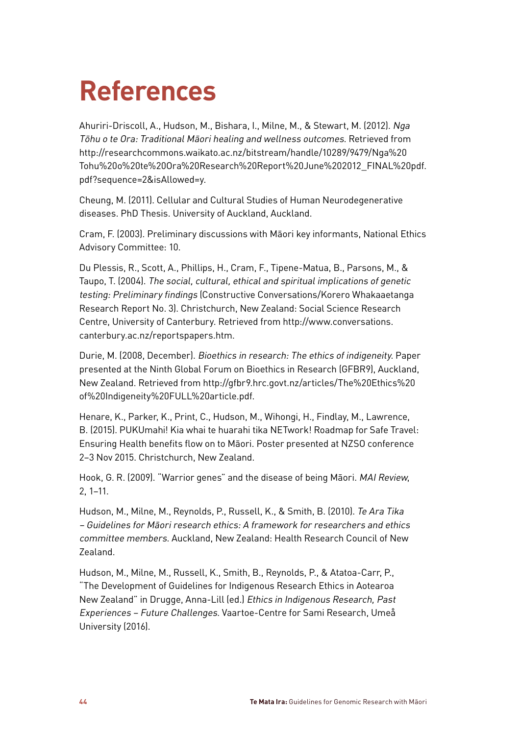## <span id="page-49-0"></span>**References**

Ahuriri-Driscoll, A., Hudson, M., Bishara, I., Milne, M., & Stewart, M. (2012). Nga Tōhu o te Ora: Traditional Māori healing and wellness outcomes. Retrieved from [http://researchcommons.waikato.ac.nz/bitstream/handle/10289/9479/Nga%20](http://researchcommons.waikato.ac.nz/bitstream/handle/10289/9479/Nga%20Tohu%20o%20te%20Ora%20Research%20Report%20June%202012_FINAL%20pdf.pdf?sequence=2&isAllowed=y) [Tohu%20o%20te%20Ora%20Research%20Report%20June%202012\\_FINAL%20pdf.](http://researchcommons.waikato.ac.nz/bitstream/handle/10289/9479/Nga%20Tohu%20o%20te%20Ora%20Research%20Report%20June%202012_FINAL%20pdf.pdf?sequence=2&isAllowed=y) [pdf?sequence=2&isAllowed=y](http://researchcommons.waikato.ac.nz/bitstream/handle/10289/9479/Nga%20Tohu%20o%20te%20Ora%20Research%20Report%20June%202012_FINAL%20pdf.pdf?sequence=2&isAllowed=y).

Cheung, M. (2011). Cellular and Cultural Studies of Human Neurodegenerative diseases. PhD Thesis. University of Auckland, Auckland.

Cram, F. (2003). Preliminary discussions with Māori key informants, National Ethics Advisory Committee: 10.

Du Plessis, R., Scott, A., Phillips, H., Cram, F., Tipene-Matua, B., Parsons, M., & Taupo, T. (2004). The social, cultural, ethical and spiritual implications of genetic testing: Preliminary findings (Constructive Conversations/Korero Whakaaetanga Research Report No. 3). Christchurch, New Zealand: Social Science Research Centre, University of Canterbury. Retrieved from [http://www.conversations.](http://www.conversations.canterbury.ac.nz/reportspapers.htm) [canterbury.ac.nz/reportspapers.htm.](http://www.conversations.canterbury.ac.nz/reportspapers.htm)

Durie, M. (2008, December). Bioethics in research: The ethics of indigeneity. Paper presented at the Ninth Global Forum on Bioethics in Research (GFBR9), Auckland, New Zealand. Retrieved from [http://gfbr9.hrc.govt.nz/articles/The%20Ethics%20](http://gfbr9.hrc.govt.nz/articles/The%20Ethics%20of%20Indigeneity%20FULL%20article.pdf) [of%20Indigeneity%20FULL%20article.pdf.](http://gfbr9.hrc.govt.nz/articles/The%20Ethics%20of%20Indigeneity%20FULL%20article.pdf)

Henare, K., Parker, K., Print, C., Hudson, M., Wihongi, H., Findlay, M., Lawrence, B. (2015). PUKUmahi! Kia whai te huarahi tika NETwork! Roadmap for Safe Travel: Ensuring Health benefits flow on to Māori. Poster presented at NZSO conference 2–3 Nov 2015. Christchurch, New Zealand.

Hook, G. R. (2009). "Warrior genes" and the disease of being Māori. MAI Review, 2, 1–11.

Hudson, M., Milne, M., Reynolds, P., Russell, K., & Smith, B. (2010). Te Ara Tika – Guidelines for Māori research ethics: A framework for researchers and ethics committee members. Auckland, New Zealand: Health Research Council of New Zealand.

Hudson, M., Milne, M., Russell, K., Smith, B., Reynolds, P., & Atatoa-Carr, P., "The Development of Guidelines for Indigenous Research Ethics in Aotearoa New Zealand" in Drugge, Anna-Lill (ed.) Ethics in Indigenous Research, Past Experiences – Future Challenges. Vaartoe-Centre for Sami Research, Umeå University (2016).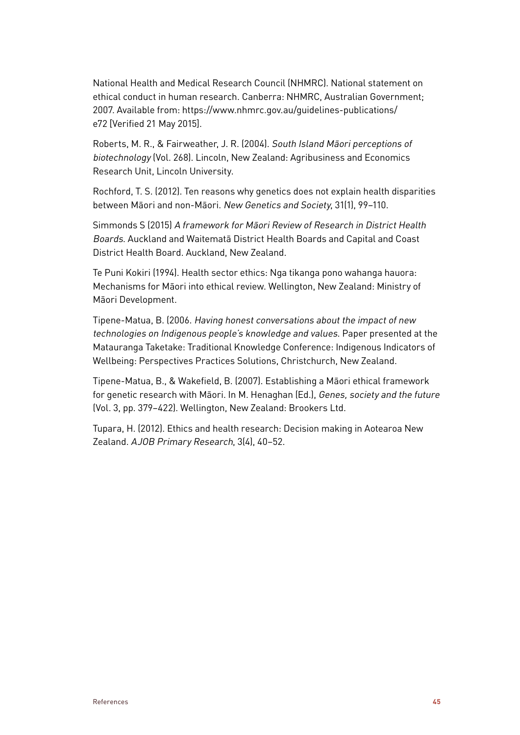National Health and Medical Research Council (NHMRC). National statement on ethical conduct in human research. Canberra: NHMRC, Australian Government; 2007. Available from: [https://www.nhmrc.gov.au/guidelines-publications/](https://www.nhmrc.gov.au/guidelines-publications/e72) [e72](https://www.nhmrc.gov.au/guidelines-publications/e72) [Verified 21 May 2015].

Roberts, M. R., & Fairweather, J. R. (2004). South Island Māori perceptions of biotechnology (Vol. 268). Lincoln, New Zealand: Agribusiness and Economics Research Unit, Lincoln University.

Rochford, T. S. (2012). Ten reasons why genetics does not explain health disparities between Māori and non-Māori. New Genetics and Society, 31(1), 99–110.

Simmonds S (2015) A framework for Māori Review of Research in District Health Boards. Auckland and Waitematā District Health Boards and Capital and Coast District Health Board. Auckland, New Zealand.

Te Puni Kokiri (1994). Health sector ethics: Nga tikanga pono wahanga hauora: Mechanisms for Māori into ethical review. Wellington, New Zealand: Ministry of Māori Development.

Tipene-Matua, B. (2006. Having honest conversations about the impact of new technologies on Indigenous people's knowledge and values. Paper presented at the Matauranga Taketake: Traditional Knowledge Conference: Indigenous Indicators of Wellbeing: Perspectives Practices Solutions, Christchurch, New Zealand.

Tipene-Matua, B., & Wakefield, B. (2007). Establishing a Māori ethical framework for genetic research with Māori. In M. Henaghan (Ed.), Genes, society and the future (Vol. 3, pp. 379–422). Wellington, New Zealand: Brookers Ltd.

Tupara, H. (2012). Ethics and health research: Decision making in Aotearoa New Zealand. AJOB Primary Research, 3(4), 40–52.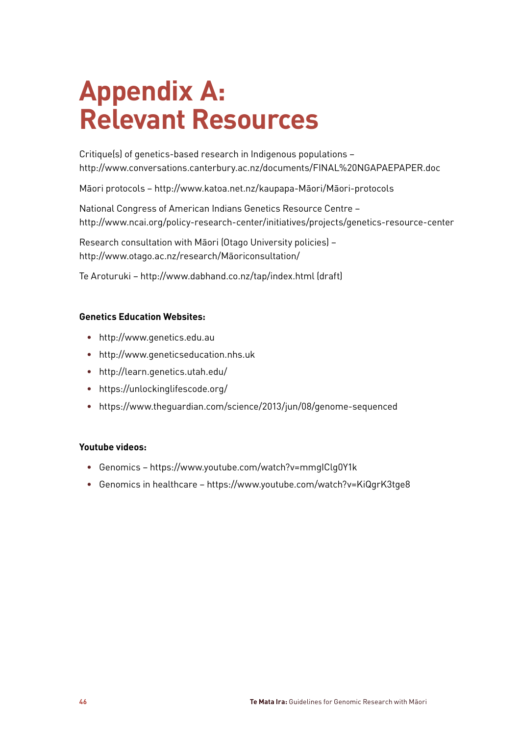## <span id="page-51-0"></span>**Appendix A: Relevant Resources**

Critique(s) of genetics-based research in Indigenous populations – <http://www.conversations.canterbury.ac.nz/documents/FINAL%20NGAPAEPAPER.doc>

Māori protocols – http://www.katoa.net.nz/kaupapa-Māori/Māori-protocols

National Congress of American Indians Genetics Resource Centre – <http://www.ncai.org/policy-research-center/initiatives/projects/genetics-resource-center>

Research consultation with Māori (Otago University policies) – [http://www.otago.ac.nz/research/Māoriconsultation/](http://www.otago.ac.nz/research/maoriconsultation/)

Te Aroturuki – http://www.dabhand.co.nz/tap/index.html (draft)

#### **Genetics Education Websites:**

- <http://www.genetics.edu.au>
- <http://www.geneticseducation.nhs.uk>
- <http://learn.genetics.utah.edu/>
- <https://unlockinglifescode.org/>
- <https://www.theguardian.com/science/2013/jun/08/genome-sequenced>

#### **Youtube videos:**

- Genomics <https://www.youtube.com/watch?v=mmgIClg0Y1k>
- Genomics in healthcare –<https://www.youtube.com/watch?v=KiQgrK3tge8>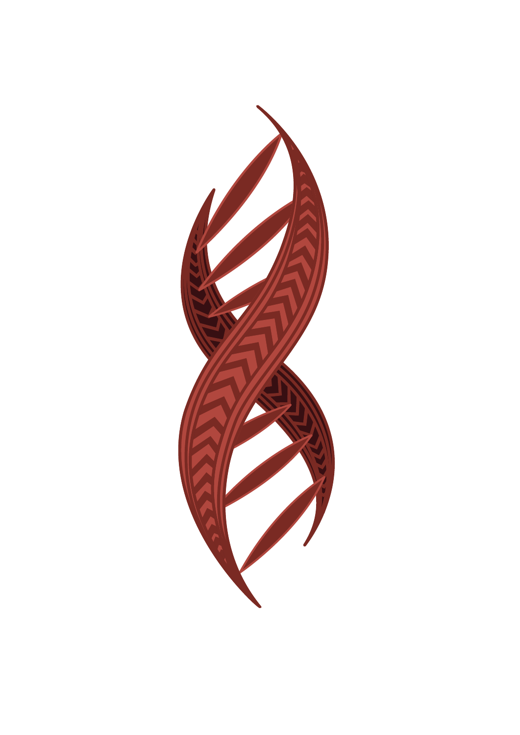